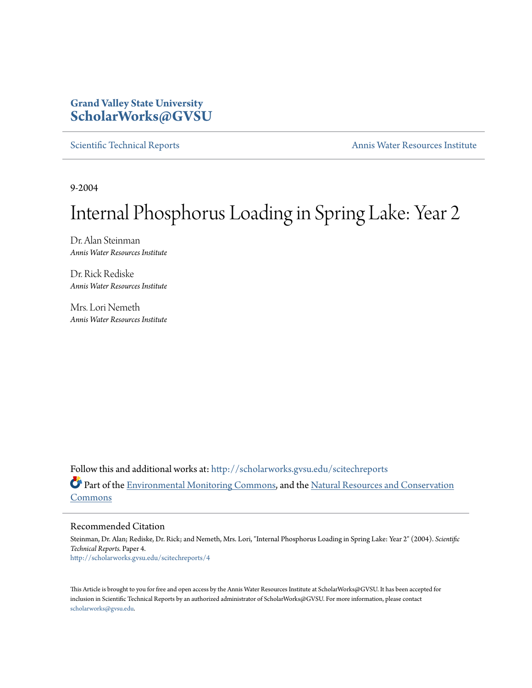## **Grand Valley State University [ScholarWorks@GVSU](http://scholarworks.gvsu.edu?utm_source=scholarworks.gvsu.edu%2Fscitechreports%2F4&utm_medium=PDF&utm_campaign=PDFCoverPages)**

[Scientific Technical Reports](http://scholarworks.gvsu.edu/scitechreports?utm_source=scholarworks.gvsu.edu%2Fscitechreports%2F4&utm_medium=PDF&utm_campaign=PDFCoverPages) **[Annis Water Resources Institute](http://scholarworks.gvsu.edu/awri?utm_source=scholarworks.gvsu.edu%2Fscitechreports%2F4&utm_medium=PDF&utm_campaign=PDFCoverPages)** 

9-2004

# Internal Phosphorus Loading in Spring Lake: Year 2

Dr. Alan Steinman *Annis Water Resources Institute*

Dr. Rick Rediske *Annis Water Resources Institute*

Mrs. Lori Nemeth *Annis Water Resources Institute*

Follow this and additional works at: [http://scholarworks.gvsu.edu/scitechreports](http://scholarworks.gvsu.edu/scitechreports?utm_source=scholarworks.gvsu.edu%2Fscitechreports%2F4&utm_medium=PDF&utm_campaign=PDFCoverPages) Part of the [Environmental Monitoring Commons](http://network.bepress.com/hgg/discipline/931?utm_source=scholarworks.gvsu.edu%2Fscitechreports%2F4&utm_medium=PDF&utm_campaign=PDFCoverPages), and the [Natural Resources and Conservation](http://network.bepress.com/hgg/discipline/168?utm_source=scholarworks.gvsu.edu%2Fscitechreports%2F4&utm_medium=PDF&utm_campaign=PDFCoverPages) [Commons](http://network.bepress.com/hgg/discipline/168?utm_source=scholarworks.gvsu.edu%2Fscitechreports%2F4&utm_medium=PDF&utm_campaign=PDFCoverPages)

Recommended Citation

Steinman, Dr. Alan; Rediske, Dr. Rick; and Nemeth, Mrs. Lori, "Internal Phosphorus Loading in Spring Lake: Year 2" (2004). *Scientific Technical Reports.* Paper 4. [http://scholarworks.gvsu.edu/scitechreports/4](http://scholarworks.gvsu.edu/scitechreports/4?utm_source=scholarworks.gvsu.edu%2Fscitechreports%2F4&utm_medium=PDF&utm_campaign=PDFCoverPages)

This Article is brought to you for free and open access by the Annis Water Resources Institute at ScholarWorks@GVSU. It has been accepted for inclusion in Scientific Technical Reports by an authorized administrator of ScholarWorks@GVSU. For more information, please contact [scholarworks@gvsu.edu](mailto:scholarworks@gvsu.edu).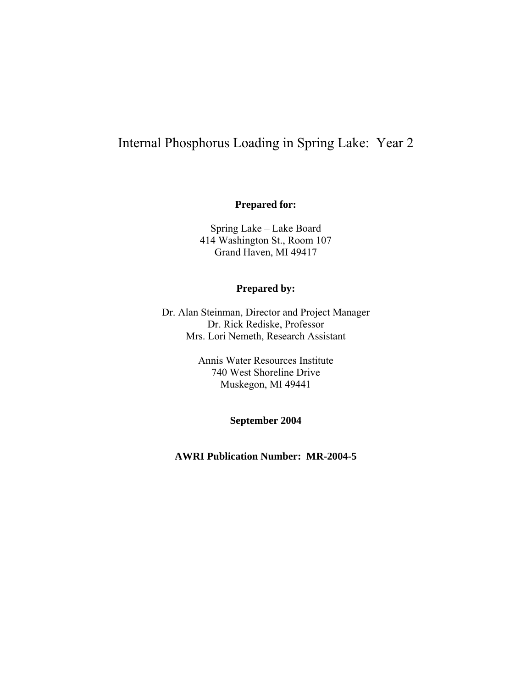# Internal Phosphorus Loading in Spring Lake: Year 2

#### **Prepared for:**

Spring Lake – Lake Board 414 Washington St., Room 107 Grand Haven, MI 49417

#### **Prepared by:**

Dr. Alan Steinman, Director and Project Manager Dr. Rick Rediske, Professor Mrs. Lori Nemeth, Research Assistant

> Annis Water Resources Institute 740 West Shoreline Drive Muskegon, MI 49441

> > **September 2004**

**AWRI Publication Number: MR-2004-5**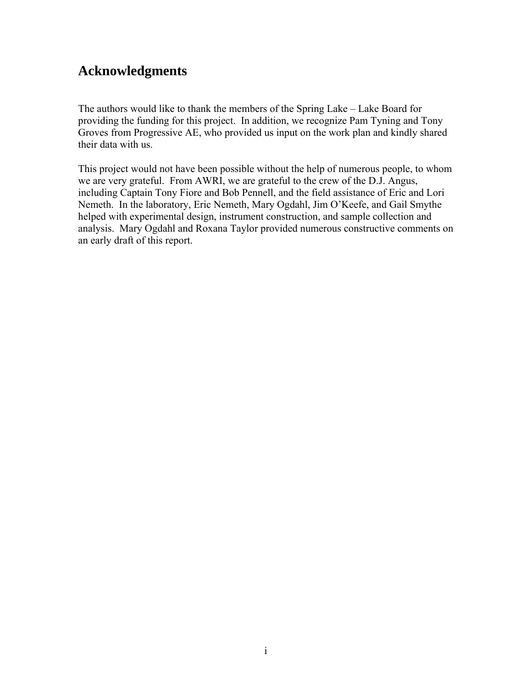# **Acknowledgments**

The authors would like to thank the members of the Spring Lake – Lake Board for providing the funding for this project. In addition, we recognize Pam Tyning and Tony Groves from Progressive AE, who provided us input on the work plan and kindly shared their data with us.

This project would not have been possible without the help of numerous people, to whom we are very grateful. From AWRI, we are grateful to the crew of the D.J. Angus, including Captain Tony Fiore and Bob Pennell, and the field assistance of Eric and Lori Nemeth. In the laboratory, Eric Nemeth, Mary Ogdahl, Jim O'Keefe, and Gail Smythe helped with experimental design, instrument construction, and sample collection and analysis. Mary Ogdahl and Roxana Taylor provided numerous constructive comments on an early draft of this report.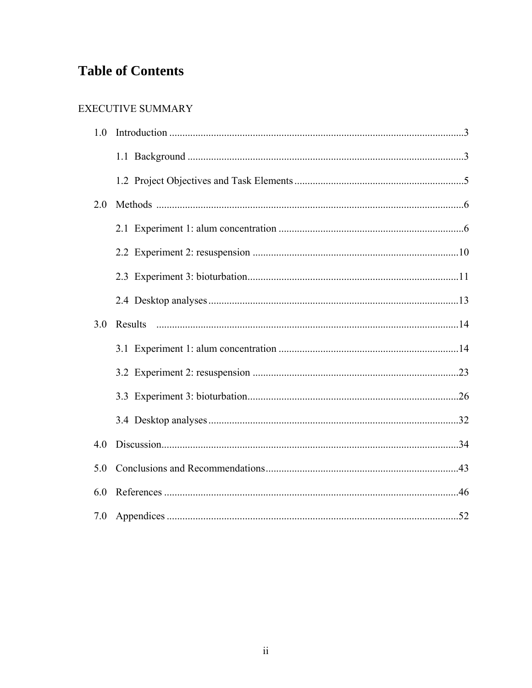# **Table of Contents**

### EXECUTIVE SUMMARY

| 1.0 |         |  |
|-----|---------|--|
|     |         |  |
|     |         |  |
| 2.0 |         |  |
|     |         |  |
|     |         |  |
|     |         |  |
|     |         |  |
| 3.0 | Results |  |
|     |         |  |
|     |         |  |
|     |         |  |
|     |         |  |
| 4.0 |         |  |
| 5.0 |         |  |
| 6.0 |         |  |
| 7.0 |         |  |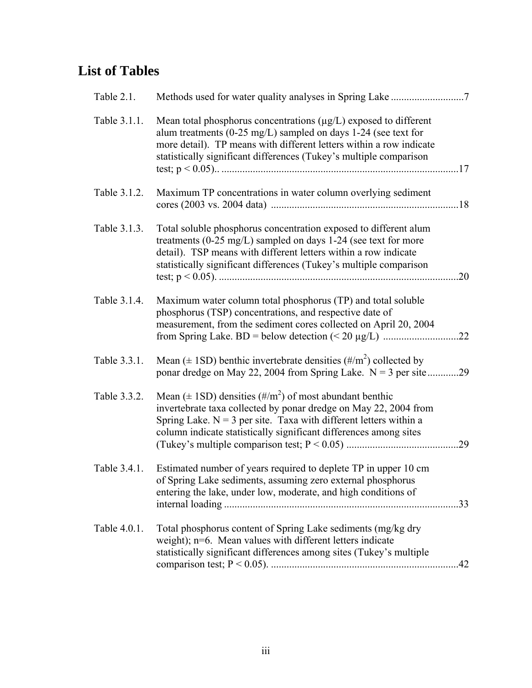# **List of Tables**

| Table 2.1.   |                                                                                                                                                                                                                                                                                      |     |
|--------------|--------------------------------------------------------------------------------------------------------------------------------------------------------------------------------------------------------------------------------------------------------------------------------------|-----|
| Table 3.1.1. | Mean total phosphorus concentrations $(\mu g/L)$ exposed to different<br>alum treatments (0-25 mg/L) sampled on days 1-24 (see text for<br>more detail). TP means with different letters within a row indicate<br>statistically significant differences (Tukey's multiple comparison |     |
| Table 3.1.2. | Maximum TP concentrations in water column overlying sediment                                                                                                                                                                                                                         |     |
| Table 3.1.3. | Total soluble phosphorus concentration exposed to different alum<br>treatments (0-25 mg/L) sampled on days 1-24 (see text for more<br>detail). TSP means with different letters within a row indicate<br>statistically significant differences (Tukey's multiple comparison          | .20 |
| Table 3.1.4. | Maximum water column total phosphorus (TP) and total soluble<br>phosphorus (TSP) concentrations, and respective date of<br>measurement, from the sediment cores collected on April 20, 2004                                                                                          |     |
| Table 3.3.1. | Mean ( $\pm$ 1SD) benthic invertebrate densities ( $\#/m^2$ ) collected by<br>ponar dredge on May 22, 2004 from Spring Lake. $N = 3$ per site29                                                                                                                                      |     |
| Table 3.3.2. | Mean ( $\pm$ 1SD) densities ( $\#/m^2$ ) of most abundant benthic<br>invertebrate taxa collected by ponar dredge on May 22, 2004 from<br>Spring Lake. $N = 3$ per site. Taxa with different letters within a<br>column indicate statistically significant differences among sites    |     |
| Table 3.4.1. | Estimated number of years required to deplete TP in upper 10 cm<br>of Spring Lake sediments, assuming zero external phosphorus<br>entering the lake, under low, moderate, and high conditions of                                                                                     |     |
| Table 4.0.1. | Total phosphorus content of Spring Lake sediments (mg/kg dry<br>weight); n=6. Mean values with different letters indicate<br>statistically significant differences among sites (Tukey's multiple                                                                                     |     |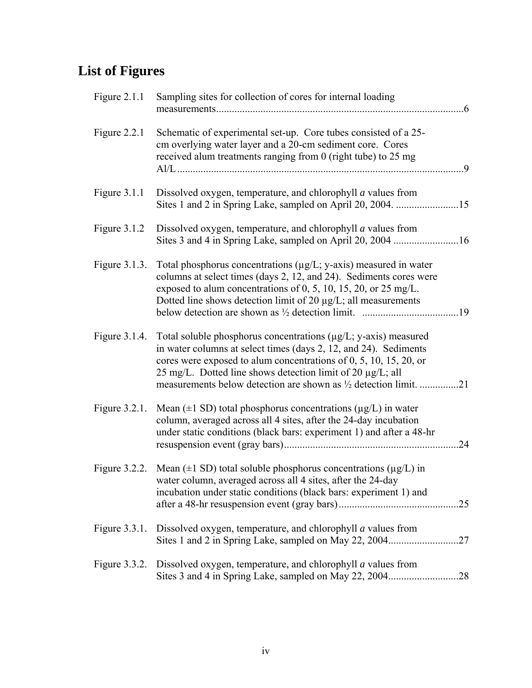# **List of Figures**

| Figure $2.1.1$   | Sampling sites for collection of cores for internal loading<br>$.6\,$                                                                                                                                                                                                                      |
|------------------|--------------------------------------------------------------------------------------------------------------------------------------------------------------------------------------------------------------------------------------------------------------------------------------------|
| Figure $2.2.1$   | Schematic of experimental set-up. Core tubes consisted of a 25-<br>cm overlying water layer and a 20-cm sediment core. Cores<br>received alum treatments ranging from 0 (right tube) to 25 mg<br>Al/L ………………………………………………………………………………………<br>. 9                                             |
| Figure $3.1.1$   | Dissolved oxygen, temperature, and chlorophyll <i>a</i> values from                                                                                                                                                                                                                        |
| Figure $3.1.2$   | Dissolved oxygen, temperature, and chlorophyll <i>a</i> values from                                                                                                                                                                                                                        |
| Figure $3.1.3$ . | Total phosphorus concentrations ( $\mu$ g/L; y-axis) measured in water<br>columns at select times (days 2, 12, and 24). Sediments cores were<br>exposed to alum concentrations of 0, 5, 10, 15, 20, or 25 mg/L.<br>Dotted line shows detection limit of 20 µg/L; all measurements          |
| Figure 3.1.4.    | Total soluble phosphorus concentrations $(\mu g/L; y\text{-axis})$ measured<br>in water columns at select times (days 2, 12, and 24). Sediments<br>cores were exposed to alum concentrations of $0, 5, 10, 15, 20$ , or<br>25 mg/L. Dotted line shows detection limit of 20 $\mu$ g/L; all |
| Figure 3.2.1.    | Mean ( $\pm$ 1 SD) total phosphorus concentrations ( $\mu$ g/L) in water<br>column, averaged across all 4 sites, after the 24-day incubation<br>under static conditions (black bars: experiment 1) and after a 48-hr<br>.24                                                                |
|                  | Figure 3.2.2. Mean ( $\pm$ 1 SD) total soluble phosphorus concentrations ( $\mu$ g/L) in<br>water column, averaged across all 4 sites, after the 24-day<br>incubation under static conditions (black bars: experiment 1) and                                                               |
| Figure $3.3.1$ . | Dissolved oxygen, temperature, and chlorophyll <i>a</i> values from                                                                                                                                                                                                                        |
| Figure $3.3.2$ . | Dissolved oxygen, temperature, and chlorophyll <i>a</i> values from                                                                                                                                                                                                                        |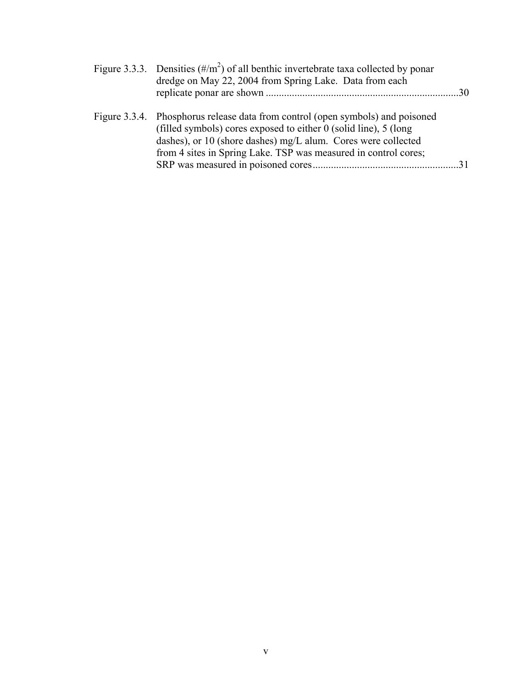| Figure 3.3.3. Densities $(\frac{\#}{m^2})$ of all benthic invertebrate taxa collected by ponar<br>dredge on May 22, 2004 from Spring Lake. Data from each                                                                                                                                  |
|--------------------------------------------------------------------------------------------------------------------------------------------------------------------------------------------------------------------------------------------------------------------------------------------|
| Figure 3.3.4. Phosphorus release data from control (open symbols) and poisoned<br>(filled symbols) cores exposed to either $0$ (solid line), $5$ (long<br>dashes), or 10 (shore dashes) mg/L alum. Cores were collected<br>from 4 sites in Spring Lake. TSP was measured in control cores; |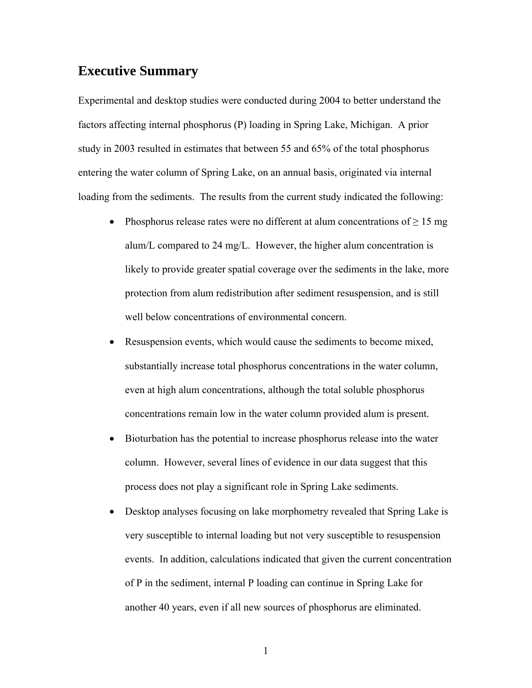## **Executive Summary**

Experimental and desktop studies were conducted during 2004 to better understand the factors affecting internal phosphorus (P) loading in Spring Lake, Michigan. A prior study in 2003 resulted in estimates that between 55 and 65% of the total phosphorus entering the water column of Spring Lake, on an annual basis, originated via internal loading from the sediments. The results from the current study indicated the following:

- Phosphorus release rates were no different at alum concentrations of  $\geq 15$  mg alum/L compared to 24 mg/L. However, the higher alum concentration is likely to provide greater spatial coverage over the sediments in the lake, more protection from alum redistribution after sediment resuspension, and is still well below concentrations of environmental concern.
- Resuspension events, which would cause the sediments to become mixed, substantially increase total phosphorus concentrations in the water column, even at high alum concentrations, although the total soluble phosphorus concentrations remain low in the water column provided alum is present.
- Bioturbation has the potential to increase phosphorus release into the water column. However, several lines of evidence in our data suggest that this process does not play a significant role in Spring Lake sediments.
- Desktop analyses focusing on lake morphometry revealed that Spring Lake is very susceptible to internal loading but not very susceptible to resuspension events. In addition, calculations indicated that given the current concentration of P in the sediment, internal P loading can continue in Spring Lake for another 40 years, even if all new sources of phosphorus are eliminated.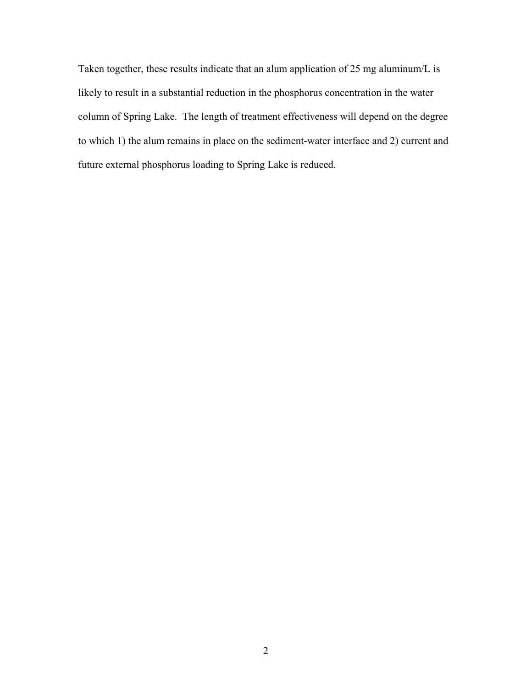Taken together, these results indicate that an alum application of 25 mg aluminum/L is likely to result in a substantial reduction in the phosphorus concentration in the water column of Spring Lake. The length of treatment effectiveness will depend on the degree to which 1) the alum remains in place on the sediment-water interface and 2) current and future external phosphorus loading to Spring Lake is reduced.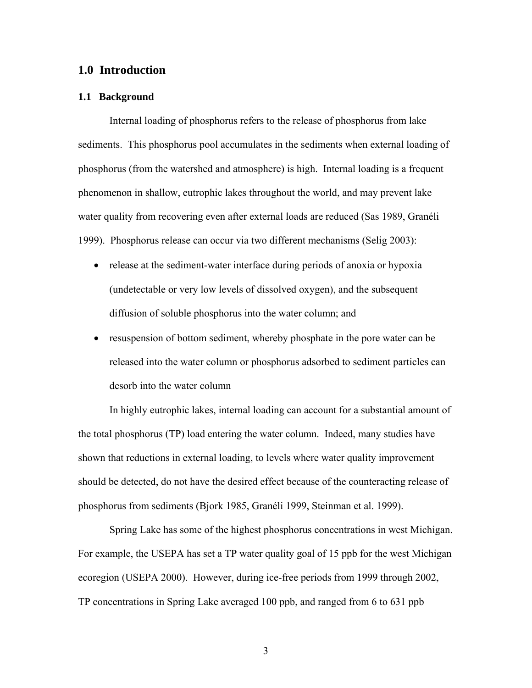#### **1.0 Introduction**

#### **1.1 Background**

Internal loading of phosphorus refers to the release of phosphorus from lake sediments. This phosphorus pool accumulates in the sediments when external loading of phosphorus (from the watershed and atmosphere) is high. Internal loading is a frequent phenomenon in shallow, eutrophic lakes throughout the world, and may prevent lake water quality from recovering even after external loads are reduced (Sas 1989, Granéli 1999). Phosphorus release can occur via two different mechanisms (Selig 2003):

- release at the sediment-water interface during periods of anoxia or hypoxia (undetectable or very low levels of dissolved oxygen), and the subsequent diffusion of soluble phosphorus into the water column; and
- resuspension of bottom sediment, whereby phosphate in the pore water can be released into the water column or phosphorus adsorbed to sediment particles can desorb into the water column

In highly eutrophic lakes, internal loading can account for a substantial amount of the total phosphorus (TP) load entering the water column. Indeed, many studies have shown that reductions in external loading, to levels where water quality improvement should be detected, do not have the desired effect because of the counteracting release of phosphorus from sediments (Bjork 1985, Granéli 1999, Steinman et al. 1999).

Spring Lake has some of the highest phosphorus concentrations in west Michigan. For example, the USEPA has set a TP water quality goal of 15 ppb for the west Michigan ecoregion (USEPA 2000).However, during ice-free periods from 1999 through 2002, TP concentrations in Spring Lake averaged 100 ppb, and ranged from 6 to 631 ppb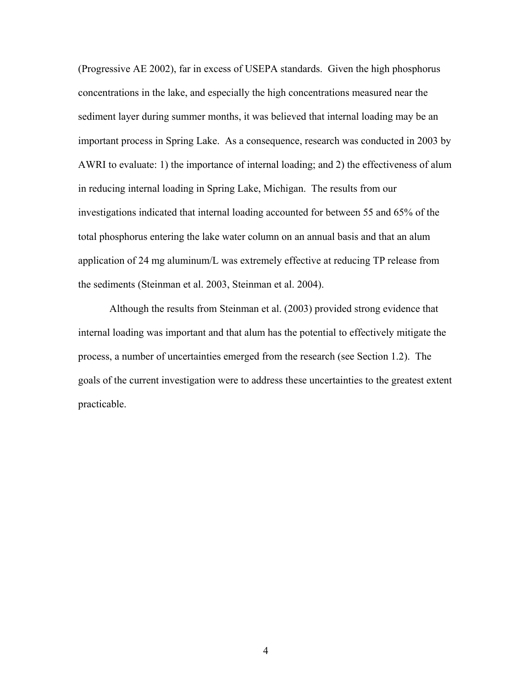(Progressive AE 2002), far in excess of USEPA standards. Given the high phosphorus concentrations in the lake, and especially the high concentrations measured near the sediment layer during summer months, it was believed that internal loading may be an important process in Spring Lake. As a consequence, research was conducted in 2003 by AWRI to evaluate: 1) the importance of internal loading; and 2) the effectiveness of alum in reducing internal loading in Spring Lake, Michigan.The results from our investigations indicated that internal loading accounted for between 55 and 65% of the total phosphorus entering the lake water column on an annual basis and that an alum application of 24 mg aluminum/L was extremely effective at reducing TP release from the sediments (Steinman et al. 2003, Steinman et al. 2004).

Although the results from Steinman et al. (2003) provided strong evidence that internal loading was important and that alum has the potential to effectively mitigate the process, a number of uncertainties emerged from the research (see Section 1.2). The goals of the current investigation were to address these uncertainties to the greatest extent practicable.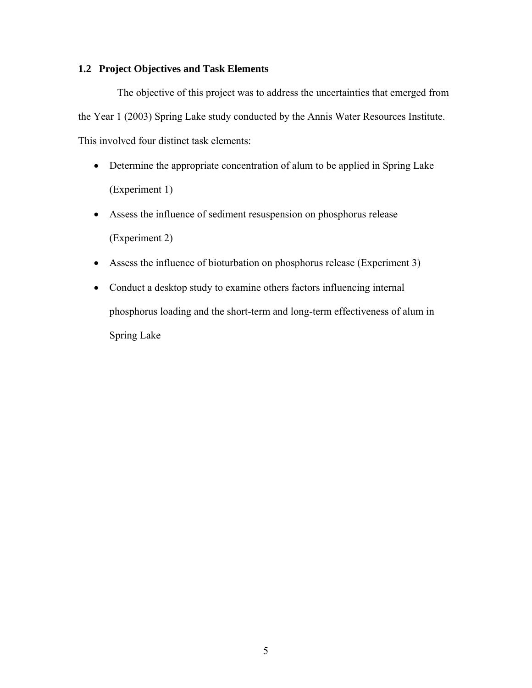#### **1.2 Project Objectives and Task Elements**

The objective of this project was to address the uncertainties that emerged from the Year 1 (2003) Spring Lake study conducted by the Annis Water Resources Institute. This involved four distinct task elements:

- Determine the appropriate concentration of alum to be applied in Spring Lake (Experiment 1)
- Assess the influence of sediment resuspension on phosphorus release (Experiment 2)
- Assess the influence of bioturbation on phosphorus release (Experiment 3)
- Conduct a desktop study to examine others factors influencing internal phosphorus loading and the short-term and long-term effectiveness of alum in Spring Lake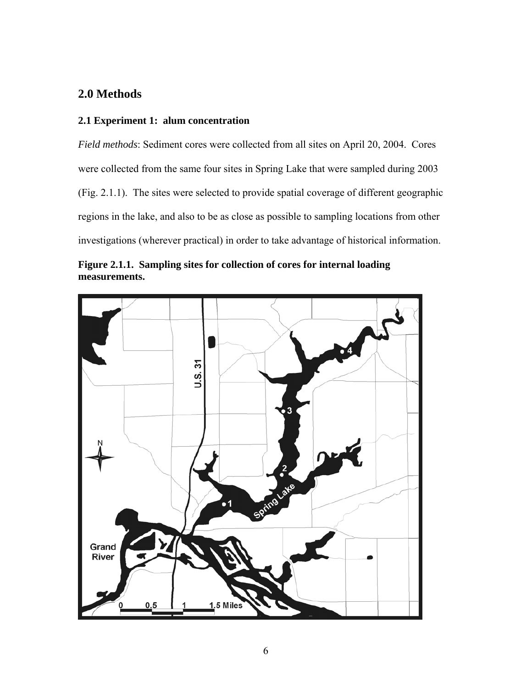## **2.0 Methods**

### **2.1 Experiment 1: alum concentration**

*Field methods*: Sediment cores were collected from all sites on April 20, 2004.Cores were collected from the same four sites in Spring Lake that were sampled during 2003 (Fig. 2.1.1). The sites were selected to provide spatial coverage of different geographic regions in the lake, and also to be as close as possible to sampling locations from other investigations (wherever practical) in order to take advantage of historical information.



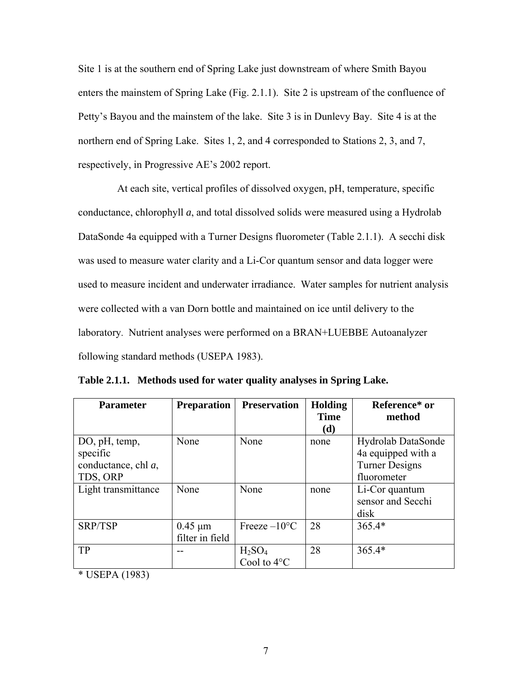Site 1 is at the southern end of Spring Lake just downstream of where Smith Bayou enters the mainstem of Spring Lake (Fig. 2.1.1). Site 2 is upstream of the confluence of Petty's Bayou and the mainstem of the lake. Site 3 is in Dunlevy Bay. Site 4 is at the northern end of Spring Lake. Sites 1, 2, and 4 corresponded to Stations 2, 3, and 7, respectively, in Progressive AE's 2002 report.

At each site, vertical profiles of dissolved oxygen, pH, temperature, specific conductance, chlorophyll *a*, and total dissolved solids were measured using a Hydrolab DataSonde 4a equipped with a Turner Designs fluorometer (Table 2.1.1). A secchi disk was used to measure water clarity and a Li-Cor quantum sensor and data logger were used to measure incident and underwater irradiance. Water samples for nutrient analysis were collected with a van Dorn bottle and maintained on ice until delivery to the laboratory. Nutrient analyses were performed on a BRAN+LUEBBE Autoanalyzer following standard methods (USEPA 1983).

| <b>Parameter</b>    | <b>Preparation</b> | <b>Preservation</b>         | <b>Holding</b> | Reference* or         |
|---------------------|--------------------|-----------------------------|----------------|-----------------------|
|                     |                    |                             | <b>Time</b>    | method                |
|                     |                    |                             | (d)            |                       |
| DO, pH, temp,       | None               | None                        | none           | Hydrolab DataSonde    |
| specific            |                    |                             |                | 4a equipped with a    |
| conductance, chl a, |                    |                             |                | <b>Turner Designs</b> |
| TDS, ORP            |                    |                             |                | fluorometer           |
| Light transmittance | None               | None                        | none           | Li-Cor quantum        |
|                     |                    |                             |                | sensor and Secchi     |
|                     |                    |                             |                | disk                  |
| SRP/TSP             | $0.45 \mu m$       | Freeze $-10$ <sup>o</sup> C | 28             | $365.4*$              |
|                     | filter in field    |                             |                |                       |
| TP                  |                    | $H_2SO_4$                   | 28             | $365.4*$              |
|                     |                    | Cool to $4^{\circ}$ C       |                |                       |

**Table 2.1.1. Methods used for water quality analyses in Spring Lake.** 

\* USEPA (1983)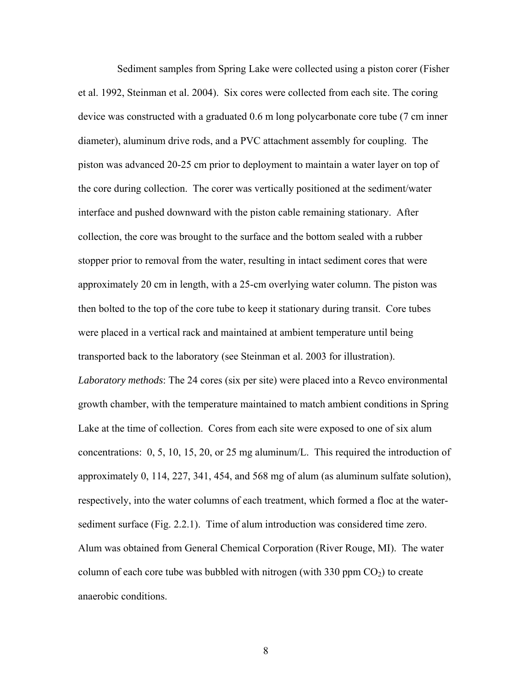Sediment samples from Spring Lake were collected using a piston corer (Fisher et al. 1992, Steinman et al. 2004). Six cores were collected from each site. The coring device was constructed with a graduated 0.6 m long polycarbonate core tube (7 cm inner diameter), aluminum drive rods, and a PVC attachment assembly for coupling. The piston was advanced 20-25 cm prior to deployment to maintain a water layer on top of the core during collection. The corer was vertically positioned at the sediment/water interface and pushed downward with the piston cable remaining stationary. After collection, the core was brought to the surface and the bottom sealed with a rubber stopper prior to removal from the water, resulting in intact sediment cores that were approximately 20 cm in length, with a 25-cm overlying water column. The piston was then bolted to the top of the core tube to keep it stationary during transit. Core tubes were placed in a vertical rack and maintained at ambient temperature until being transported back to the laboratory (see Steinman et al. 2003 for illustration). *Laboratory methods*: The 24 cores (six per site) were placed into a Revco environmental growth chamber, with the temperature maintained to match ambient conditions in Spring Lake at the time of collection. Cores from each site were exposed to one of six alum concentrations: 0, 5, 10, 15, 20, or 25 mg aluminum/L. This required the introduction of approximately 0, 114, 227, 341, 454, and 568 mg of alum (as aluminum sulfate solution), respectively, into the water columns of each treatment, which formed a floc at the watersediment surface (Fig. 2.2.1). Time of alum introduction was considered time zero. Alum was obtained from General Chemical Corporation (River Rouge, MI). The water column of each core tube was bubbled with nitrogen (with  $330$  ppm  $CO<sub>2</sub>$ ) to create anaerobic conditions.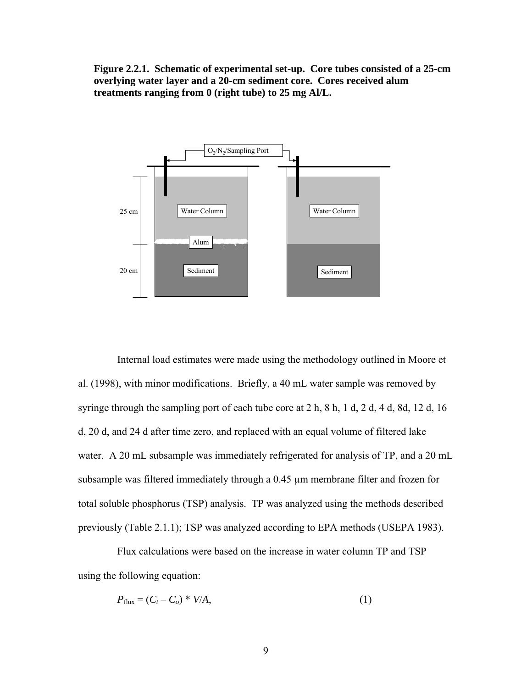**Figure 2.2.1. Schematic of experimental set-up. Core tubes consisted of a 25-cm overlying water layer and a 20-cm sediment core. Cores received alum treatments ranging from 0 (right tube) to 25 mg Al/L.** 



Internal load estimates were made using the methodology outlined in Moore et al. (1998), with minor modifications. Briefly, a 40 mL water sample was removed by syringe through the sampling port of each tube core at 2 h, 8 h, 1 d, 2 d, 4 d, 8d, 12 d, 16 d, 20 d, and 24 d after time zero, and replaced with an equal volume of filtered lake water. A 20 mL subsample was immediately refrigerated for analysis of TP, and a 20 mL subsample was filtered immediately through a 0.45 µm membrane filter and frozen for total soluble phosphorus (TSP) analysis. TP was analyzed using the methods described previously (Table 2.1.1); TSP was analyzed according to EPA methods (USEPA 1983).

Flux calculations were based on the increase in water column TP and TSP using the following equation:

$$
P_{\text{flux}} = (C_t - C_o) * V/A,\tag{1}
$$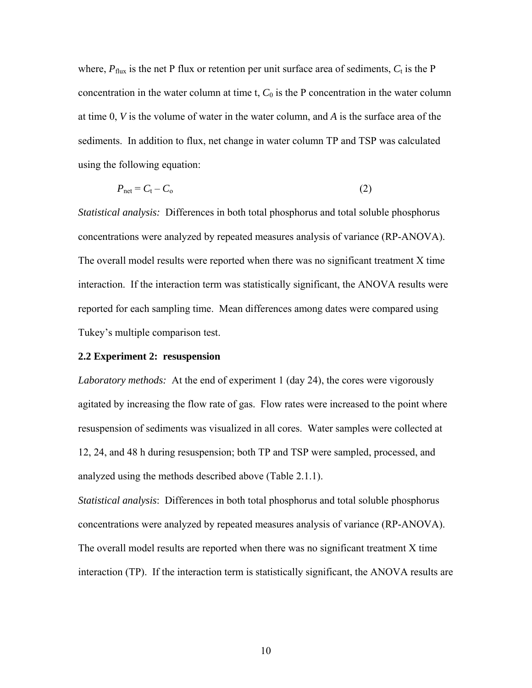where,  $P_{\text{flux}}$  is the net P flux or retention per unit surface area of sediments,  $C_t$  is the P concentration in the water column at time t,  $C_0$  is the P concentration in the water column at time 0, *V* is the volume of water in the water column, and *A* is the surface area of the sediments. In addition to flux, net change in water column TP and TSP was calculated using the following equation:

$$
P_{\text{net}} = C_{\text{t}} - C_{\text{o}} \tag{2}
$$

*Statistical analysis:* Differences in both total phosphorus and total soluble phosphorus concentrations were analyzed by repeated measures analysis of variance (RP-ANOVA). The overall model results were reported when there was no significant treatment X time interaction. If the interaction term was statistically significant, the ANOVA results were reported for each sampling time. Mean differences among dates were compared using Tukey's multiple comparison test.

#### **2.2 Experiment 2: resuspension**

*Laboratory methods:*At the end of experiment 1 (day 24), the cores were vigorously agitated by increasing the flow rate of gas. Flow rates were increased to the point where resuspension of sediments was visualized in all cores. Water samples were collected at 12, 24, and 48 h during resuspension; both TP and TSP were sampled, processed, and analyzed using the methods described above (Table 2.1.1).

*Statistical analysis*: Differences in both total phosphorus and total soluble phosphorus concentrations were analyzed by repeated measures analysis of variance (RP-ANOVA). The overall model results are reported when there was no significant treatment X time interaction (TP). If the interaction term is statistically significant, the ANOVA results are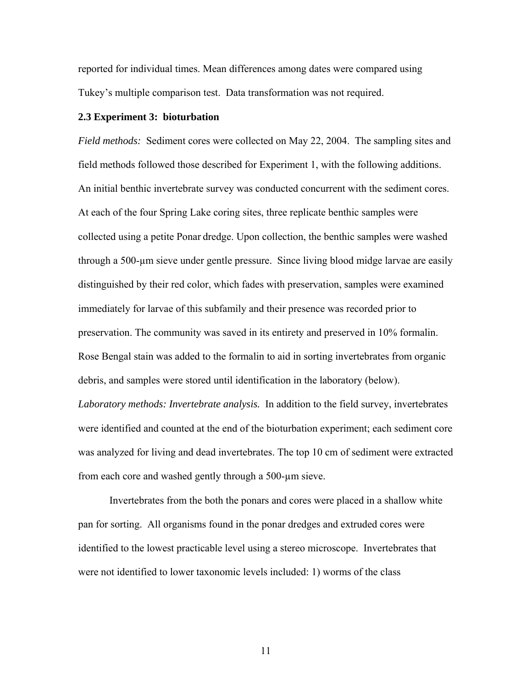reported for individual times. Mean differences among dates were compared using Tukey's multiple comparison test. Data transformation was not required.

#### **2.3 Experiment 3: bioturbation**

*Field methods:* Sediment cores were collected on May 22, 2004. The sampling sites and field methods followed those described for Experiment 1, with the following additions. An initial benthic invertebrate survey was conducted concurrent with the sediment cores. At each of the four Spring Lake coring sites, three replicate benthic samples were collected using a petite Ponar dredge. Upon collection, the benthic samples were washed through a 500-µm sieve under gentle pressure. Since living blood midge larvae are easily distinguished by their red color, which fades with preservation, samples were examined immediately for larvae of this subfamily and their presence was recorded prior to preservation. The community was saved in its entirety and preserved in 10% formalin. Rose Bengal stain was added to the formalin to aid in sorting invertebrates from organic debris, and samples were stored until identification in the laboratory (below). *Laboratory methods: Invertebrate analysis.* In addition to the field survey, invertebrates were identified and counted at the end of the bioturbation experiment; each sediment core was analyzed for living and dead invertebrates. The top 10 cm of sediment were extracted from each core and washed gently through a 500-µm sieve.

Invertebrates from the both the ponars and cores were placed in a shallow white pan for sorting. All organisms found in the ponar dredges and extruded cores were identified to the lowest practicable level using a stereo microscope. Invertebrates that were not identified to lower taxonomic levels included: 1) worms of the class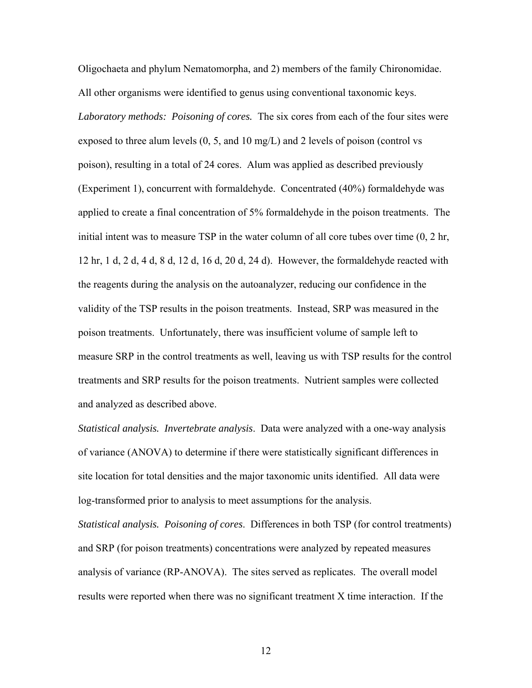Oligochaeta and phylum Nematomorpha, and 2) members of the family Chironomidae. All other organisms were identified to genus using conventional taxonomic keys. *Laboratory methods: Poisoning of cores.* The six cores from each of the four sites were exposed to three alum levels (0, 5, and 10 mg/L) and 2 levels of poison (control vs poison), resulting in a total of 24 cores. Alum was applied as described previously (Experiment 1), concurrent with formaldehyde. Concentrated (40%) formaldehyde was applied to create a final concentration of 5% formaldehyde in the poison treatments. The initial intent was to measure TSP in the water column of all core tubes over time (0, 2 hr, 12 hr, 1 d, 2 d, 4 d, 8 d, 12 d, 16 d, 20 d, 24 d). However, the formaldehyde reacted with the reagents during the analysis on the autoanalyzer, reducing our confidence in the validity of the TSP results in the poison treatments. Instead, SRP was measured in the poison treatments. Unfortunately, there was insufficient volume of sample left to measure SRP in the control treatments as well, leaving us with TSP results for the control treatments and SRP results for the poison treatments. Nutrient samples were collected and analyzed as described above.

*Statistical analysis. Invertebrate analysis*. Data were analyzed with a one-way analysis of variance (ANOVA) to determine if there were statistically significant differences in site location for total densities and the major taxonomic units identified. All data were log-transformed prior to analysis to meet assumptions for the analysis.

*Statistical analysis. Poisoning of cores*. Differences in both TSP (for control treatments) and SRP (for poison treatments) concentrations were analyzed by repeated measures analysis of variance (RP-ANOVA). The sites served as replicates. The overall model results were reported when there was no significant treatment X time interaction. If the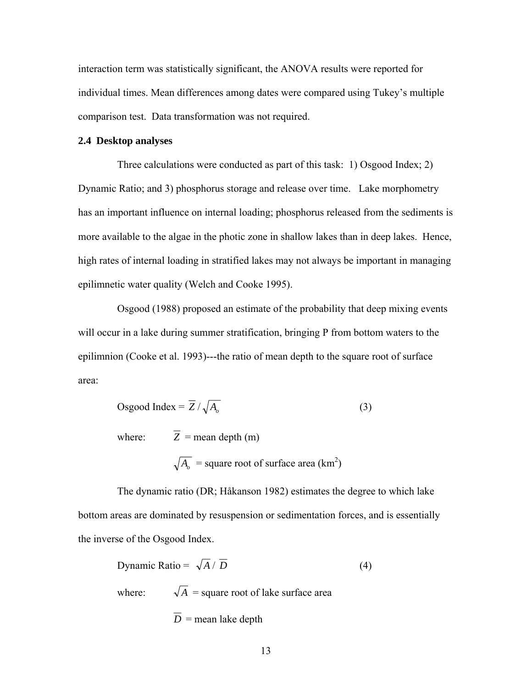interaction term was statistically significant, the ANOVA results were reported for individual times. Mean differences among dates were compared using Tukey's multiple comparison test. Data transformation was not required.

#### **2.4 Desktop analyses**

Three calculations were conducted as part of this task: 1) Osgood Index; 2) Dynamic Ratio; and 3) phosphorus storage and release over time. Lake morphometry has an important influence on internal loading; phosphorus released from the sediments is more available to the algae in the photic zone in shallow lakes than in deep lakes. Hence, high rates of internal loading in stratified lakes may not always be important in managing epilimnetic water quality (Welch and Cooke 1995).

Osgood (1988) proposed an estimate of the probability that deep mixing events will occur in a lake during summer stratification, bringing P from bottom waters to the epilimnion (Cooke et al. 1993)---the ratio of mean depth to the square root of surface area:

Osgood Index = 
$$
\overline{Z}/\sqrt{A_o}
$$
 (3)  
where:  $\overline{Z}$  = mean depth (m)  
 $\sqrt{A_o}$  = square root of surface area (km<sup>2</sup>)

The dynamic ratio (DR; Håkanson 1982) estimates the degree to which lake bottom areas are dominated by resuspension or sedimentation forces, and is essentially the inverse of the Osgood Index.

Dynamic Ratio = 
$$
\sqrt{A}/\overline{D}
$$
 (4)  
where:  $\sqrt{A}$  = square root of lake surface area  
 $\overline{D}$  = mean lake depth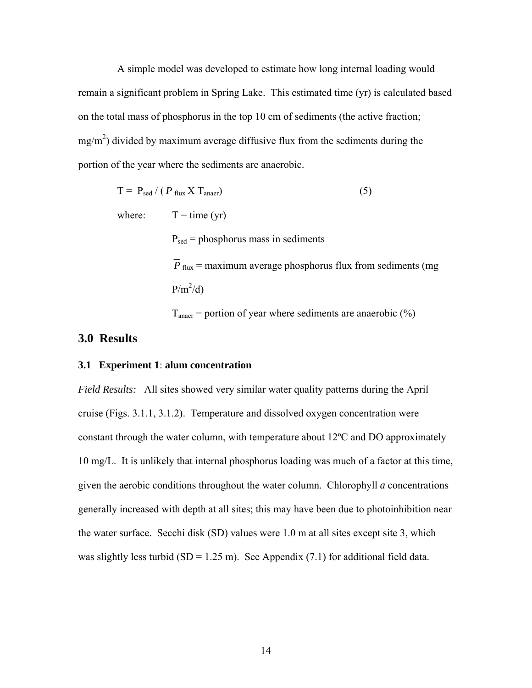A simple model was developed to estimate how long internal loading would remain a significant problem in Spring Lake. This estimated time (yr) is calculated based on the total mass of phosphorus in the top 10 cm of sediments (the active fraction;  $mg/m<sup>2</sup>$ ) divided by maximum average diffusive flux from the sediments during the portion of the year where the sediments are anaerobic.

$$
T = P_{\text{sed}} / (\overline{P}_{\text{flux}} X T_{\text{anaer}})
$$
 (5)  
where:  $T = \text{time (yr)}$   

$$
P_{\text{sed}} = \text{phosphorus mass in sediments}
$$
  

$$
\overline{P}_{\text{flux}} = \text{maximum average phosphorus flux from sediments (mg)}
$$
  

$$
P/m^2/d)
$$
  

$$
T_{\text{anaer}} = \text{portion of year where sediments are anaerobic (%)}
$$

#### **3.0 Results**

#### **3.1 Experiment 1**: **alum concentration**

*Field Results:* All sites showed very similar water quality patterns during the April cruise (Figs. 3.1.1, 3.1.2). Temperature and dissolved oxygen concentration were constant through the water column, with temperature about 12ºC and DO approximately 10 mg/L. It is unlikely that internal phosphorus loading was much of a factor at this time, given the aerobic conditions throughout the water column. Chlorophyll *a* concentrations generally increased with depth at all sites; this may have been due to photoinhibition near the water surface. Secchi disk (SD) values were 1.0 m at all sites except site 3, which was slightly less turbid (SD = 1.25 m). See Appendix (7.1) for additional field data.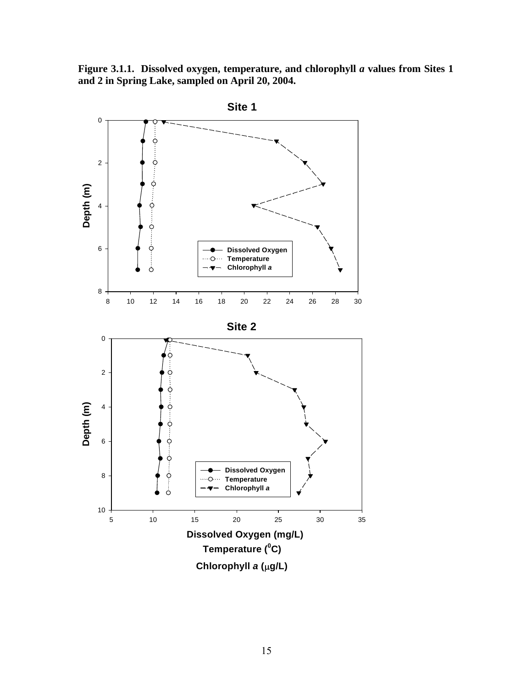**Figure 3.1.1. Dissolved oxygen, temperature, and chlorophyll** *a* **values from Sites 1 and 2 in Spring Lake, sampled on April 20, 2004.** 

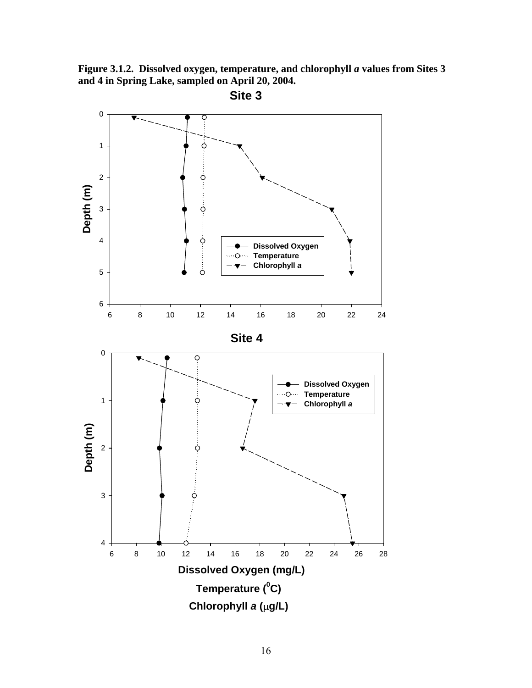**Figure 3.1.2. Dissolved oxygen, temperature, and chlorophyll** *a* **values from Sites 3 and 4 in Spring Lake, sampled on April 20, 2004.** 

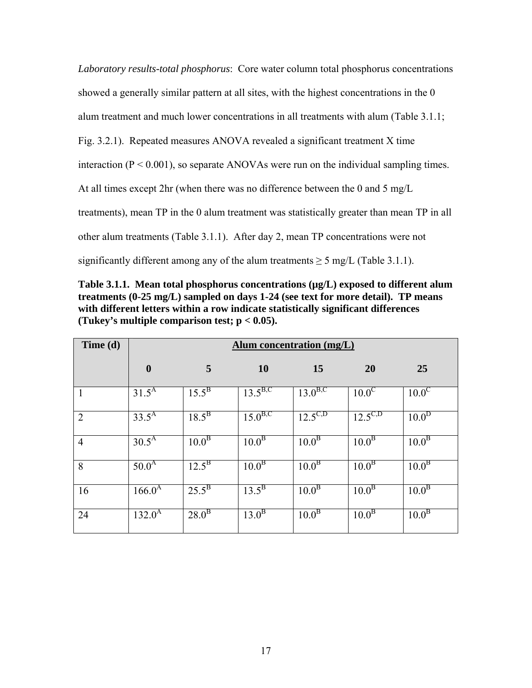*Laboratory results-total phosphorus*:Core water column total phosphorus concentrations showed a generally similar pattern at all sites, with the highest concentrations in the 0 alum treatment and much lower concentrations in all treatments with alum (Table 3.1.1; Fig. 3.2.1). Repeated measures ANOVA revealed a significant treatment X time interaction  $(P < 0.001)$ , so separate ANOVAs were run on the individual sampling times. At all times except 2hr (when there was no difference between the 0 and 5 mg/L treatments), mean TP in the 0 alum treatment was statistically greater than mean TP in all other alum treatments (Table 3.1.1). After day 2, mean TP concentrations were not significantly different among any of the alum treatments  $\geq$  5 mg/L (Table 3.1.1).

Table 3.1.1. Mean total phosphorus concentrations ( $\mu$ g/L) exposed to different alum **treatments (0-25 mg/L) sampled on days 1-24 (see text for more detail). TP means with different letters within a row indicate statistically significant differences (Tukey's multiple comparison test; p < 0.05).** 

| Time (d)       | <b>Alum concentration (mg/L)</b> |                       |                         |                         |                       |                       |
|----------------|----------------------------------|-----------------------|-------------------------|-------------------------|-----------------------|-----------------------|
|                | $\boldsymbol{0}$                 | 5                     | <b>10</b>               | 15                      | 20                    | 25                    |
| 1              | $31.\overline{5^{A}}$            | $15.\overline{5^{B}}$ | $13.\overline{5^{B,C}}$ | $13.0^{B,C}$            | 10.0 <sup>C</sup>     | $10.0^{\circ}$        |
| $\overline{2}$ | $33.5^{A}$                       | $18.5^{B}$            | $15.0^{B,C}$            | $12.\overline{5^{C,D}}$ | $12.5^{C,D}$          | 10.0 <sup>D</sup>     |
| $\overline{4}$ | $30.5^{\overline{A}}$            | $10.0^{\overline{B}}$ | 10.0 <sup>B</sup>       | 10.0 <sup>B</sup>       | $10.0^{\overline{B}}$ | 10.0 <sup>B</sup>     |
| 8              | $50.0^{A}$                       | $12.5^{\rm B}$        | 10.0 <sup>B</sup>       | 10.0 <sup>B</sup>       | $10.\overline{0^B}$   | $10.\overline{0^B}$   |
| 16             | $166.0^{\rm A}$                  | $25.5^{\rm B}$        | $13.5^{B}$              | $10.0^{\overline{B}}$   | 10.0 <sup>B</sup>     | $10.\overline{0^B}$   |
| 24             | $132.0^{\rm A}$                  | $28.0^{\rm B}$        | $13.0^{B}$              | 10.0 <sup>B</sup>       | 10.0 <sup>B</sup>     | $10.0^{\overline{B}}$ |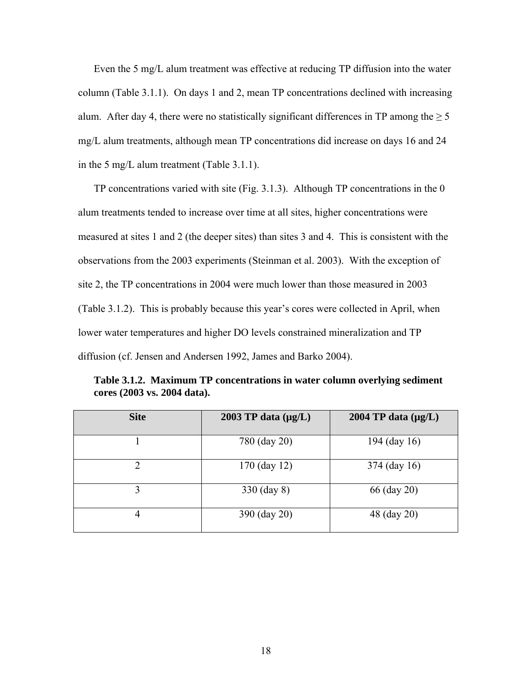Even the 5 mg/L alum treatment was effective at reducing TP diffusion into the water column (Table 3.1.1). On days 1 and 2, mean TP concentrations declined with increasing alum. After day 4, there were no statistically significant differences in TP among the  $\geq 5$ mg/L alum treatments, although mean TP concentrations did increase on days 16 and 24 in the 5 mg/L alum treatment (Table 3.1.1).

TP concentrations varied with site (Fig. 3.1.3). Although TP concentrations in the 0 alum treatments tended to increase over time at all sites, higher concentrations were measured at sites 1 and 2 (the deeper sites) than sites 3 and 4. This is consistent with the observations from the 2003 experiments (Steinman et al. 2003). With the exception of site 2, the TP concentrations in 2004 were much lower than those measured in 2003 (Table 3.1.2). This is probably because this year's cores were collected in April, when lower water temperatures and higher DO levels constrained mineralization and TP diffusion (cf. Jensen and Andersen 1992, James and Barko 2004).

| <b>Site</b>    | 2003 TP data $(\mu g/L)$ | 2004 TP data $(\mu g/L)$ |
|----------------|--------------------------|--------------------------|
|                | 780 (day 20)             | 194 (day 16)             |
| $\overline{2}$ | $170$ (day 12)           | 374 (day 16)             |
| 3              | 330 (day 8)              | 66 (day 20)              |
| 4              | 390 (day 20)             | 48 (day 20)              |

**Table 3.1.2. Maximum TP concentrations in water column overlying sediment cores (2003 vs. 2004 data).**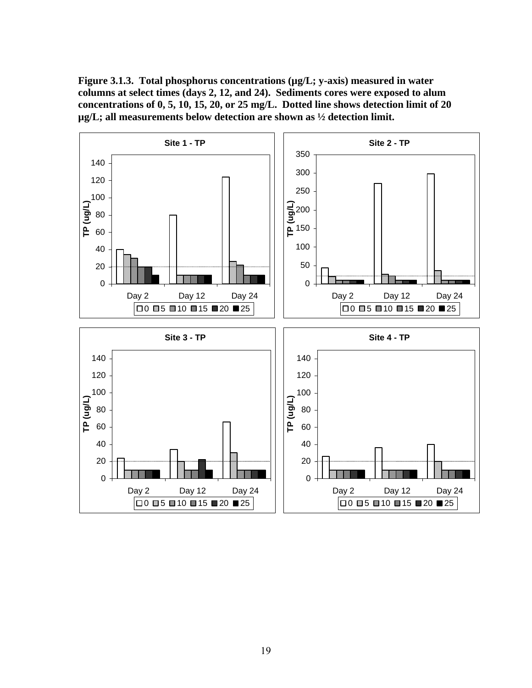**Figure 3.1.3. Total phosphorus concentrations (µg/L; y-axis) measured in water columns at select times (days 2, 12, and 24). Sediments cores were exposed to alum concentrations of 0, 5, 10, 15, 20, or 25 mg/L. Dotted line shows detection limit of 20 µg/L; all measurements below detection are shown as ½ detection limit.** 

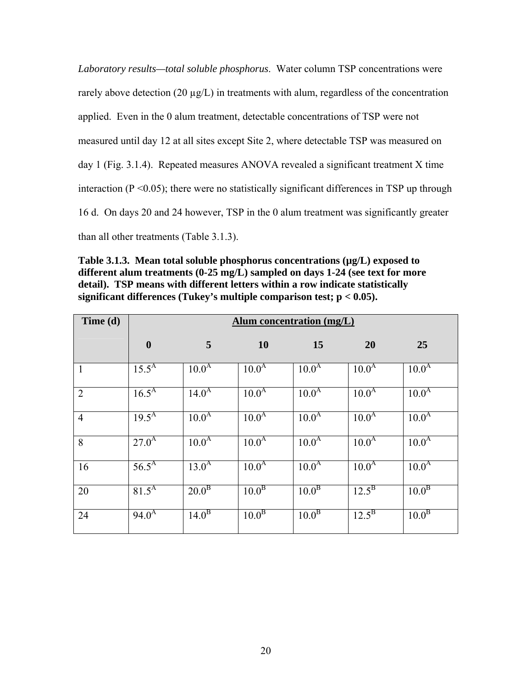*Laboratory results—total soluble phosphorus*. Water column TSP concentrations were rarely above detection (20  $\mu$ g/L) in treatments with alum, regardless of the concentration applied. Even in the 0 alum treatment, detectable concentrations of TSP were not measured until day 12 at all sites except Site 2, where detectable TSP was measured on day 1 (Fig. 3.1.4). Repeated measures ANOVA revealed a significant treatment X time interaction ( $P \le 0.05$ ); there were no statistically significant differences in TSP up through 16 d. On days 20 and 24 however, TSP in the 0 alum treatment was significantly greater than all other treatments (Table 3.1.3).

**Table 3.1.3. Mean total soluble phosphorus concentrations (µg/L) exposed to different alum treatments (0-25 mg/L) sampled on days 1-24 (see text for more detail). TSP means with different letters within a row indicate statistically significant differences (Tukey's multiple comparison test; p < 0.05).** 

| Time $(d)$     | <b>Alum concentration (mg/L)</b> |                   |                   |                   |                   |                   |
|----------------|----------------------------------|-------------------|-------------------|-------------------|-------------------|-------------------|
|                | $\boldsymbol{0}$                 | 5                 | <b>10</b>         | 15                | 20                | 25                |
| $\mathbf{1}$   | $15.5^{A}$                       | 10.0 <sup>A</sup> | 10.0 <sup>A</sup> | $10.0^{\rm A}$    | 10.0 <sup>A</sup> | 10.0 <sup>A</sup> |
| $\overline{2}$ | $16.5^{A}$                       | $14.0^{A}$        | 10.0 <sup>A</sup> | 10.0 <sup>A</sup> | 10.0 <sup>A</sup> | 10.0 <sup>A</sup> |
| $\overline{4}$ | $19.5^{A}$                       | 10.0 <sup>A</sup> | 10.0 <sup>A</sup> | 10.0 <sup>A</sup> | $10.0^{A}$        | 10.0 <sup>A</sup> |
| 8              | $27.0^{A}$                       | 10.0 <sup>A</sup> | 10.0 <sup>A</sup> | 10.0 <sup>A</sup> | $10.0^{A}$        | 10.0 <sup>A</sup> |
| 16             | $56.5^{\text{A}}$                | $13.0^{A}$        | 10.0 <sup>A</sup> | 10.0 <sup>A</sup> | 10.0 <sup>A</sup> | 10.0 <sup>A</sup> |
| 20             | 81.5 <sup>A</sup>                | 20.0 <sup>B</sup> | 10.0 <sup>B</sup> | 10.0 <sup>B</sup> | $12.5^{\rm B}$    | 10.0 <sup>B</sup> |
| 24             | $94.0^{A}$                       | 14.0 <sup>B</sup> | 10.0 <sup>B</sup> | 10.0 <sup>B</sup> | $12.5^{\rm B}$    | 10.0 <sup>B</sup> |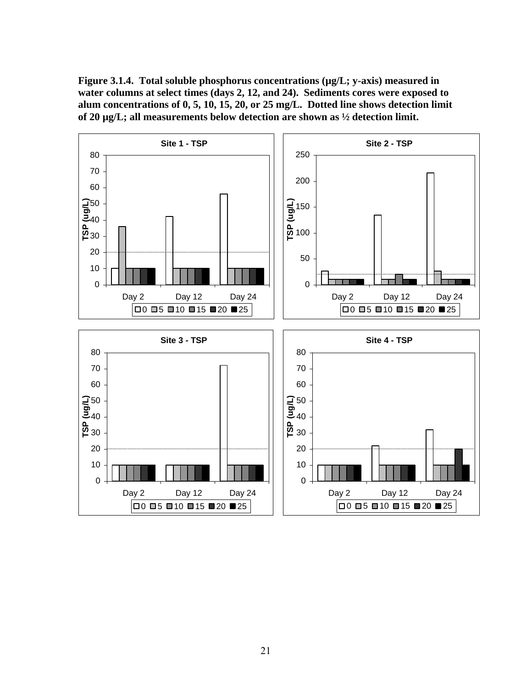**Figure 3.1.4. Total soluble phosphorus concentrations (µg/L; y-axis) measured in water columns at select times (days 2, 12, and 24). Sediments cores were exposed to alum concentrations of 0, 5, 10, 15, 20, or 25 mg/L. Dotted line shows detection limit of 20 µg/L; all measurements below detection are shown as ½ detection limit.** 

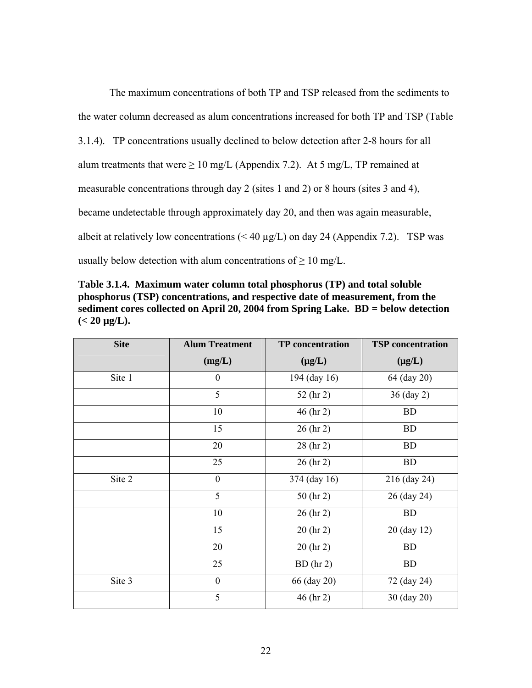The maximum concentrations of both TP and TSP released from the sediments to the water column decreased as alum concentrations increased for both TP and TSP (Table 3.1.4). TP concentrations usually declined to below detection after 2-8 hours for all alum treatments that were  $\geq 10$  mg/L (Appendix 7.2). At 5 mg/L, TP remained at measurable concentrations through day 2 (sites 1 and 2) or 8 hours (sites 3 and 4), became undetectable through approximately day 20, and then was again measurable, albeit at relatively low concentrations  $( $40 \mu g/L$ )$  on day 24 (Appendix 7.2). TSP was usually below detection with alum concentrations of  $\geq 10$  mg/L.

**Table 3.1.4. Maximum water column total phosphorus (TP) and total soluble phosphorus (TSP) concentrations, and respective date of measurement, from the sediment cores collected on April 20, 2004 from Spring Lake. BD = below detection**   $(< 20 \text{ µg/L}).$ 

| <b>Site</b> | <b>Alum Treatment</b> | <b>TP</b> concentration | <b>TSP</b> concentration |
|-------------|-----------------------|-------------------------|--------------------------|
|             | (mg/L)                | $(\mu g/L)$             | $(\mu g/L)$              |
| Site 1      | $\boldsymbol{0}$      | 194 (day 16)            | 64 (day 20)              |
|             | 5                     | 52 (hr 2)               | 36 (day 2)               |
|             | 10                    | $46$ (hr 2)             | <b>BD</b>                |
|             | 15                    | $26$ (hr 2)             | <b>BD</b>                |
|             | 20                    | $28$ (hr 2)             | <b>BD</b>                |
|             | 25                    | $26$ (hr 2)             | <b>BD</b>                |
| Site 2      | $\boldsymbol{0}$      | 374 (day 16)            | 216 (day 24)             |
|             | 5                     | $50$ (hr 2)             | 26 (day 24)              |
|             | 10                    | $26$ (hr 2)             | <b>BD</b>                |
|             | 15                    | 20 (hr 2)               | 20 (day 12)              |
|             | 20                    | $20$ (hr 2)             | <b>BD</b>                |
|             | 25                    | $BD$ (hr 2)             | <b>BD</b>                |
| Site 3      | $\boldsymbol{0}$      | 66 (day 20)             | 72 (day 24)              |
|             | 5                     | 46 (hr 2)               | 30 (day 20)              |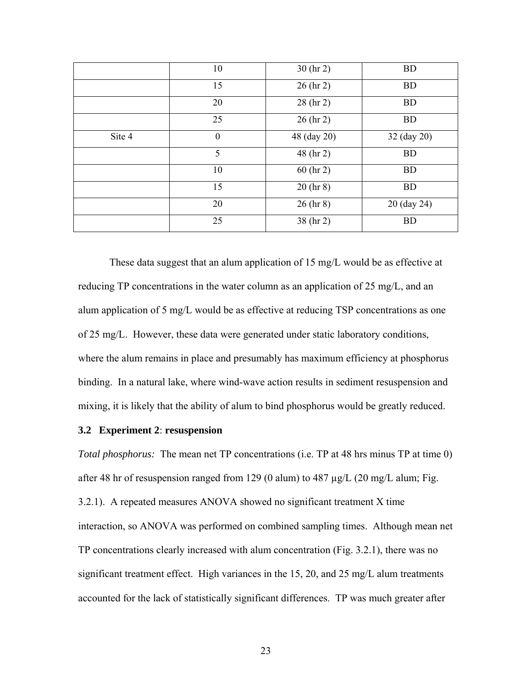|        | 10               | $30$ (hr 2)   | <b>BD</b>   |
|--------|------------------|---------------|-------------|
|        | 15               | $26$ (hr 2)   | <b>BD</b>   |
|        | 20               | $28$ (hr 2)   | <b>BD</b>   |
|        | 25               | $26$ (hr 2)   | <b>BD</b>   |
| Site 4 | $\boldsymbol{0}$ | 48 (day 20)   | 32 (day 20) |
|        | 5                | 48 (hr 2)     | <b>BD</b>   |
|        | 10               | $60$ (hr 2)   | <b>BD</b>   |
|        | 15               | 20 (hr 8)     | <b>BD</b>   |
|        | 20               | $26$ (hr $8)$ | 20 (day 24) |
|        | 25               | 38 (hr 2)     | <b>BD</b>   |

These data suggest that an alum application of 15 mg/L would be as effective at reducing TP concentrations in the water column as an application of 25 mg/L, and an alum application of 5 mg/L would be as effective at reducing TSP concentrations as one of 25 mg/L. However, these data were generated under static laboratory conditions, where the alum remains in place and presumably has maximum efficiency at phosphorus binding. In a natural lake, where wind-wave action results in sediment resuspension and mixing, it is likely that the ability of alum to bind phosphorus would be greatly reduced.

#### **3.2 Experiment 2**: **resuspension**

*Total phosphorus:* The mean net TP concentrations (i.e. TP at 48 hrs minus TP at time 0) after 48 hr of resuspension ranged from 129 (0 alum) to 487  $\mu$ g/L (20 mg/L alum; Fig. 3.2.1). A repeated measures ANOVA showed no significant treatment X time interaction, so ANOVA was performed on combined sampling times. Although mean net TP concentrations clearly increased with alum concentration (Fig. 3.2.1), there was no significant treatment effect. High variances in the 15, 20, and 25 mg/L alum treatments accounted for the lack of statistically significant differences. TP was much greater after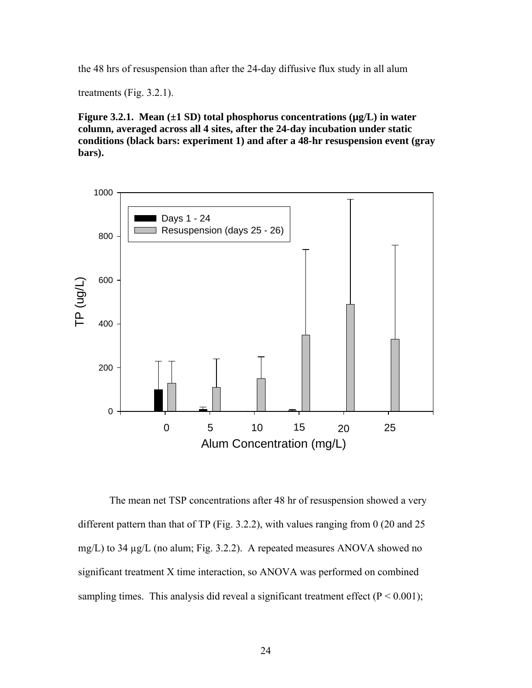the 48 hrs of resuspension than after the 24-day diffusive flux study in all alum

treatments (Fig. 3.2.1).

**Figure 3.2.1. Mean (±1 SD) total phosphorus concentrations (µg/L) in water column, averaged across all 4 sites, after the 24-day incubation under static conditions (black bars: experiment 1) and after a 48-hr resuspension event (gray bars).** 



The mean net TSP concentrations after 48 hr of resuspension showed a very different pattern than that of TP (Fig. 3.2.2), with values ranging from 0 (20 and 25) mg/L) to 34 µg/L (no alum; Fig. 3.2.2). A repeated measures ANOVA showed no significant treatment X time interaction, so ANOVA was performed on combined sampling times. This analysis did reveal a significant treatment effect ( $P < 0.001$ );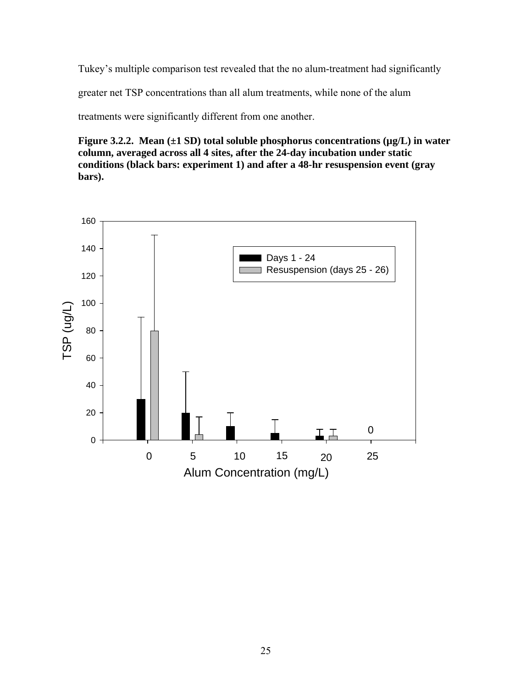Tukey's multiple comparison test revealed that the no alum-treatment had significantly

greater net TSP concentrations than all alum treatments, while none of the alum

treatments were significantly different from one another.

**Figure 3.2.2. Mean (±1 SD) total soluble phosphorus concentrations (µg/L) in water column, averaged across all 4 sites, after the 24-day incubation under static conditions (black bars: experiment 1) and after a 48-hr resuspension event (gray bars).** 

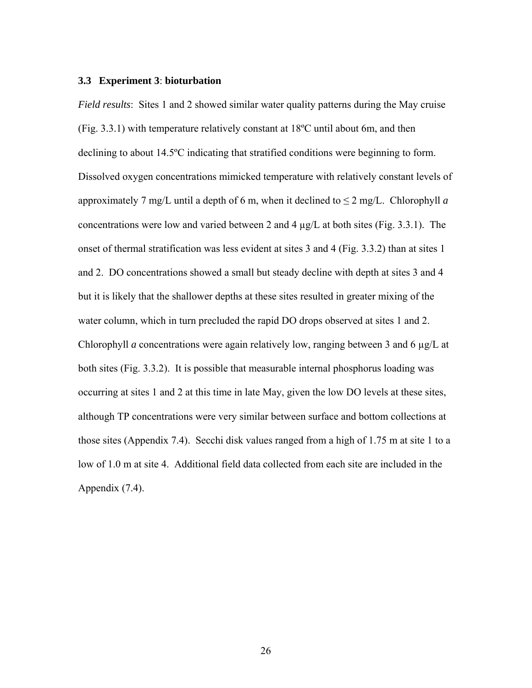#### **3.3 Experiment 3**: **bioturbation**

*Field results*: Sites 1 and 2 showed similar water quality patterns during the May cruise (Fig. 3.3.1) with temperature relatively constant at 18ºC until about 6m, and then declining to about 14.5ºC indicating that stratified conditions were beginning to form. Dissolved oxygen concentrations mimicked temperature with relatively constant levels of approximately 7 mg/L until a depth of 6 m, when it declined to  $\leq 2$  mg/L. Chlorophyll *a* concentrations were low and varied between 2 and 4  $\mu$ g/L at both sites (Fig. 3.3.1). The onset of thermal stratification was less evident at sites 3 and 4 (Fig. 3.3.2) than at sites 1 and 2. DO concentrations showed a small but steady decline with depth at sites 3 and 4 but it is likely that the shallower depths at these sites resulted in greater mixing of the water column, which in turn precluded the rapid DO drops observed at sites 1 and 2. Chlorophyll *a* concentrations were again relatively low, ranging between 3 and 6 µg/L at both sites (Fig. 3.3.2). It is possible that measurable internal phosphorus loading was occurring at sites 1 and 2 at this time in late May, given the low DO levels at these sites, although TP concentrations were very similar between surface and bottom collections at those sites (Appendix 7.4). Secchi disk values ranged from a high of 1.75 m at site 1 to a low of 1.0 m at site 4. Additional field data collected from each site are included in the Appendix (7.4).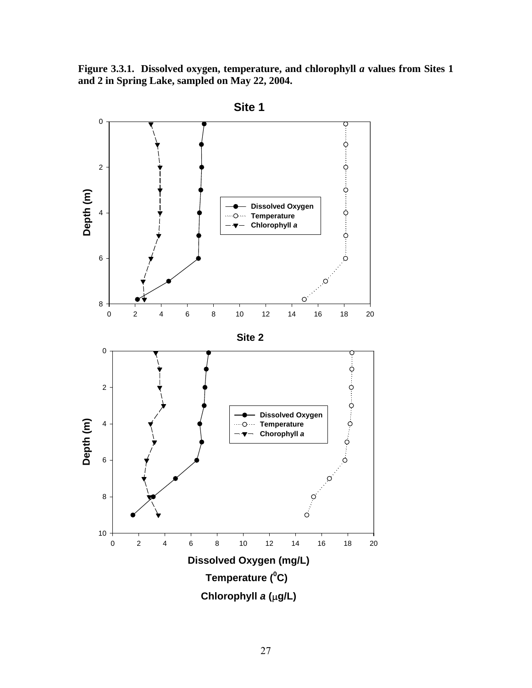**Figure 3.3.1. Dissolved oxygen, temperature, and chlorophyll** *a* **values from Sites 1 and 2 in Spring Lake, sampled on May 22, 2004.** 

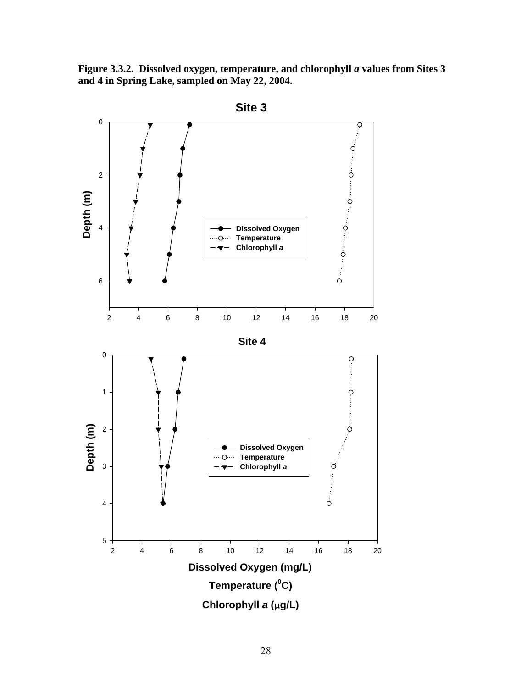**Figure 3.3.2. Dissolved oxygen, temperature, and chlorophyll** *a* **values from Sites 3 and 4 in Spring Lake, sampled on May 22, 2004.** 

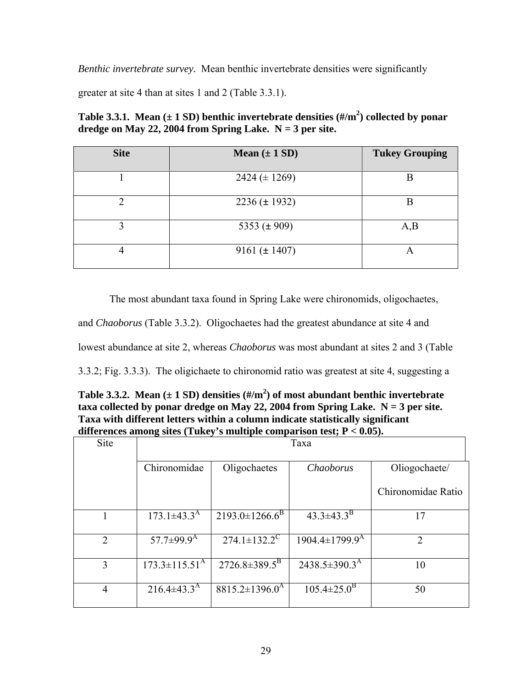*Benthic invertebrate survey.* Mean benthic invertebrate densities were significantly

greater at site 4 than at sites 1 and 2 (Table 3.3.1).

| Table 3.3.1. Mean ( $\pm$ 1 SD) benthic invertebrate densities (#/m <sup>2</sup> ) collected by ponar |
|-------------------------------------------------------------------------------------------------------|
| dredge on May 22, 2004 from Spring Lake. $N = 3$ per site.                                            |

| <b>Site</b> | Mean $(\pm 1$ SD)  | <b>Tukey Grouping</b> |
|-------------|--------------------|-----------------------|
|             | 2424 ( $\pm$ 1269) | B                     |
| ∍           | $2236 (\pm 1932)$  | B                     |
| 3           | 5353 ( $\pm$ 909)  | A,B                   |
|             | 9161 ( $\pm$ 1407) | A                     |

The most abundant taxa found in Spring Lake were chironomids, oligochaetes,

and *Chaoborus* (Table 3.3.2). Oligochaetes had the greatest abundance at site 4 and

lowest abundance at site 2, whereas *Chaoborus* was most abundant at sites 2 and 3 (Table

3.3.2; Fig. 3.3.3). The oligichaete to chironomid ratio was greatest at site 4, suggesting a

| Table 3.3.2. Mean $(\pm 1 \text{ SD})$ densities $(\frac{\text{H}}{\text{m}^2})$ of most abundant benthic invertebrate |
|------------------------------------------------------------------------------------------------------------------------|
| taxa collected by ponar dredge on May 22, 2004 from Spring Lake. $N = 3$ per site.                                     |
| Taxa with different letters within a column indicate statistically significant                                         |
| differences among sites (Tukey's multiple comparison test; $P < 0.05$ ).                                               |

| Site           |                               |                                  |                               |                    |
|----------------|-------------------------------|----------------------------------|-------------------------------|--------------------|
|                | Chironomidae                  | Oligochaetes                     | Chaoborus                     | Oliogochaete/      |
|                |                               |                                  |                               | Chironomidae Ratio |
|                | $173.1 \pm 43.3^{\rm A}$      | $2193.0 \pm 1266.6^B$            | $43.3 \pm 43.3^{\mathrm{B}}$  | 17                 |
| $\overline{2}$ | 57.7 $\pm$ 99.9 <sup>A</sup>  | $274.1 \pm 132.2^{\circ}$        | 1904.4±1799.9 <sup>A</sup>    | $\overline{2}$     |
| 3              | $173.3 \pm 115.51^{\text{A}}$ | $2726.8 \pm 389.5^B$             | $2438.5 \pm 390.3^{\text{A}}$ | 10                 |
| $\overline{4}$ | $216.4\pm43.3^{\rm A}$        | $8815.2 \pm 1396.0^{\mathrm{A}}$ | $105.4 \pm 25.0^{\rm B}$      | 50                 |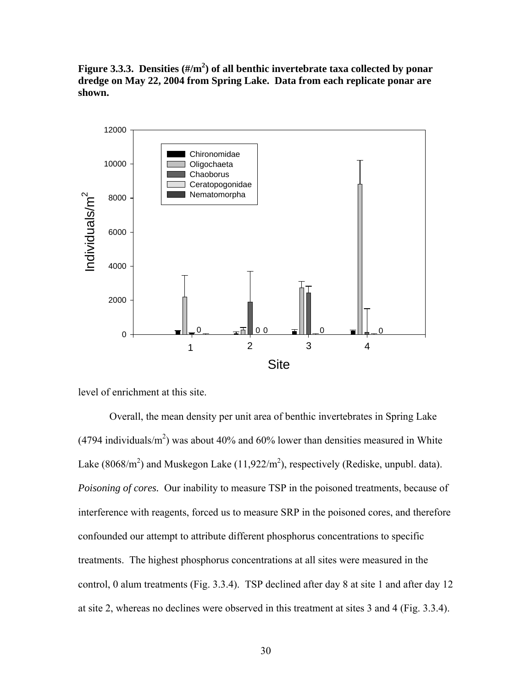Figure 3.3.3. Densities (#/m<sup>2</sup>) of all benthic invertebrate taxa collected by ponar **dredge on May 22, 2004 from Spring Lake. Data from each replicate ponar are shown.** 



level of enrichment at this site.

Overall, the mean density per unit area of benthic invertebrates in Spring Lake (4794 individuals/ $m<sup>2</sup>$ ) was about 40% and 60% lower than densities measured in White Lake (8068/m<sup>2</sup>) and Muskegon Lake (11,922/m<sup>2</sup>), respectively (Rediske, unpubl. data). *Poisoning of cores.* Our inability to measure TSP in the poisoned treatments, because of interference with reagents, forced us to measure SRP in the poisoned cores, and therefore confounded our attempt to attribute different phosphorus concentrations to specific treatments. The highest phosphorus concentrations at all sites were measured in the control, 0 alum treatments (Fig. 3.3.4). TSP declined after day 8 at site 1 and after day 12 at site 2, whereas no declines were observed in this treatment at sites 3 and 4 (Fig. 3.3.4).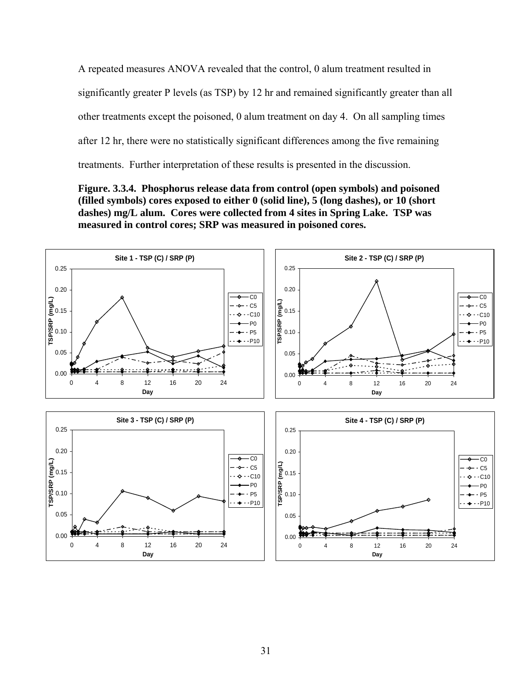A repeated measures ANOVA revealed that the control, 0 alum treatment resulted in significantly greater P levels (as TSP) by 12 hr and remained significantly greater than all other treatments except the poisoned, 0 alum treatment on day 4. On all sampling times after 12 hr, there were no statistically significant differences among the five remaining treatments. Further interpretation of these results is presented in the discussion.

**Figure. 3.3.4. Phosphorus release data from control (open symbols) and poisoned (filled symbols) cores exposed to either 0 (solid line), 5 (long dashes), or 10 (short dashes) mg/L alum. Cores were collected from 4 sites in Spring Lake. TSP was measured in control cores; SRP was measured in poisoned cores.** 

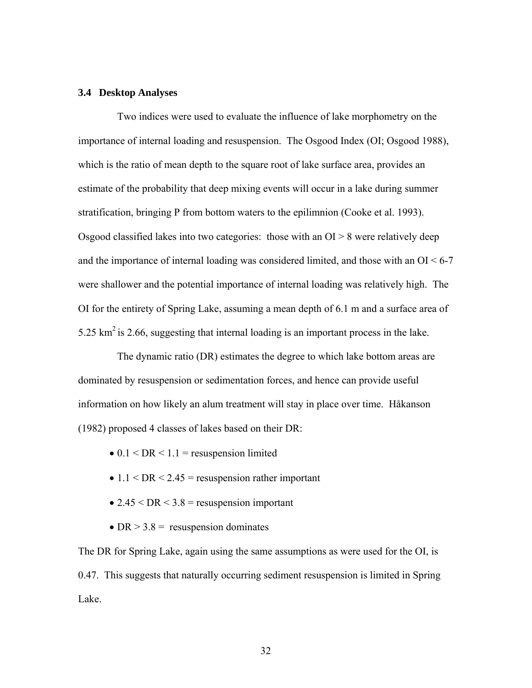#### **3.4 Desktop Analyses**

Two indices were used to evaluate the influence of lake morphometry on the importance of internal loading and resuspension. The Osgood Index (OI; Osgood 1988), which is the ratio of mean depth to the square root of lake surface area, provides an estimate of the probability that deep mixing events will occur in a lake during summer stratification, bringing P from bottom waters to the epilimnion (Cooke et al. 1993). Osgood classified lakes into two categories: those with an  $OI > 8$  were relatively deep and the importance of internal loading was considered limited, and those with an  $O<sub>1</sub> < 6-7$ were shallower and the potential importance of internal loading was relatively high. The OI for the entirety of Spring Lake, assuming a mean depth of 6.1 m and a surface area of 5.25  $\text{km}^2$  is 2.66, suggesting that internal loading is an important process in the lake.

The dynamic ratio (DR) estimates the degree to which lake bottom areas are dominated by resuspension or sedimentation forces, and hence can provide useful information on how likely an alum treatment will stay in place over time. Håkanson (1982) proposed 4 classes of lakes based on their DR:

- $\bullet$  0.1 < DR < 1.1 = resuspension limited
- $1.1 < DR < 2.45$  = resuspension rather important
- 2.45  $\leq$  DR  $\leq$  3.8 = resuspension important
- DR  $>$  3.8 = resuspension dominates

The DR for Spring Lake, again using the same assumptions as were used for the OI, is 0.47. This suggests that naturally occurring sediment resuspension is limited in Spring Lake.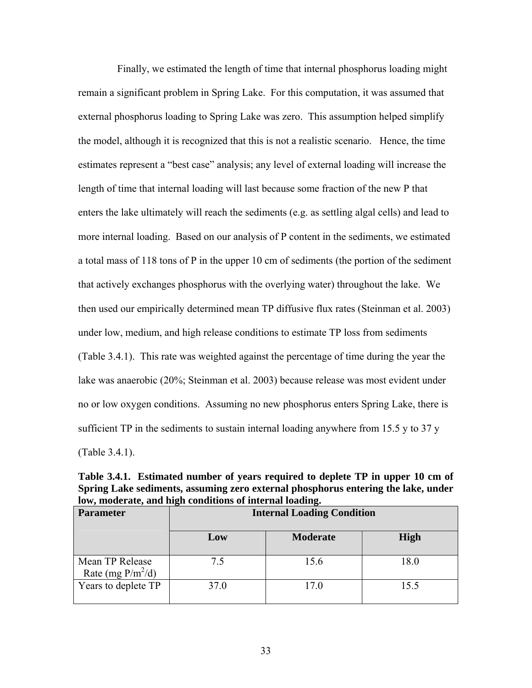Finally, we estimated the length of time that internal phosphorus loading might remain a significant problem in Spring Lake. For this computation, it was assumed that external phosphorus loading to Spring Lake was zero. This assumption helped simplify the model, although it is recognized that this is not a realistic scenario. Hence, the time estimates represent a "best case" analysis; any level of external loading will increase the length of time that internal loading will last because some fraction of the new P that enters the lake ultimately will reach the sediments (e.g. as settling algal cells) and lead to more internal loading. Based on our analysis of P content in the sediments, we estimated a total mass of 118 tons of P in the upper 10 cm of sediments (the portion of the sediment that actively exchanges phosphorus with the overlying water) throughout the lake. We then used our empirically determined mean TP diffusive flux rates (Steinman et al. 2003) under low, medium, and high release conditions to estimate TP loss from sediments (Table 3.4.1). This rate was weighted against the percentage of time during the year the lake was anaerobic (20%; Steinman et al. 2003) because release was most evident under no or low oxygen conditions. Assuming no new phosphorus enters Spring Lake, there is sufficient TP in the sediments to sustain internal loading anywhere from 15.5 y to 37 y (Table 3.4.1).

**Table 3.4.1. Estimated number of years required to deplete TP in upper 10 cm of Spring Lake sediments, assuming zero external phosphorus entering the lake, under low, moderate, and high conditions of internal loading.** 

| <b>Parameter</b>                        |      | <b>Internal Loading Condition</b> |      |  |  |  |  |  |  |  |
|-----------------------------------------|------|-----------------------------------|------|--|--|--|--|--|--|--|
|                                         | Low  | <b>Moderate</b>                   | High |  |  |  |  |  |  |  |
| Mean TP Release<br>Rate (mg $P/m^2/d$ ) | 7.5  | 15.6                              | 18.0 |  |  |  |  |  |  |  |
| Years to deplete TP                     | 37.0 | 17.0                              | 15.5 |  |  |  |  |  |  |  |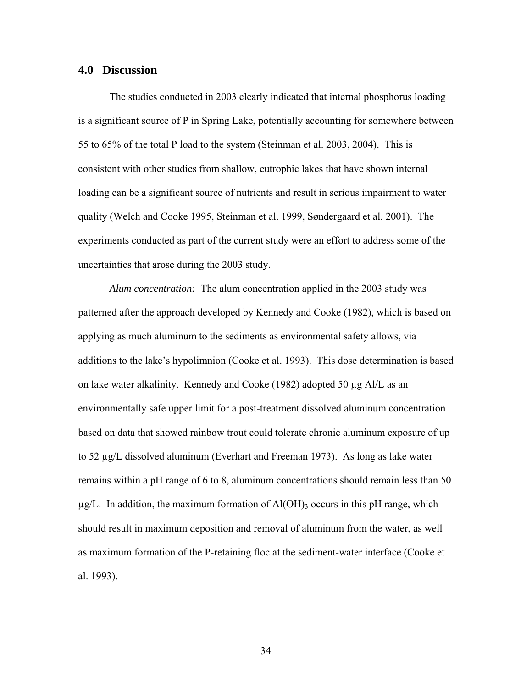#### **4.0 Discussion**

The studies conducted in 2003 clearly indicated that internal phosphorus loading is a significant source of P in Spring Lake, potentially accounting for somewhere between 55 to 65% of the total P load to the system (Steinman et al. 2003, 2004). This is consistent with other studies from shallow, eutrophic lakes that have shown internal loading can be a significant source of nutrients and result in serious impairment to water quality (Welch and Cooke 1995, Steinman et al. 1999, Søndergaard et al. 2001). The experiments conducted as part of the current study were an effort to address some of the uncertainties that arose during the 2003 study.

*Alum concentration:* The alum concentration applied in the 2003 study was patterned after the approach developed by Kennedy and Cooke (1982), which is based on applying as much aluminum to the sediments as environmental safety allows, via additions to the lake's hypolimnion (Cooke et al. 1993). This dose determination is based on lake water alkalinity. Kennedy and Cooke (1982) adopted 50 µg Al/L as an environmentally safe upper limit for a post-treatment dissolved aluminum concentration based on data that showed rainbow trout could tolerate chronic aluminum exposure of up to 52 µg/L dissolved aluminum (Everhart and Freeman 1973). As long as lake water remains within a pH range of 6 to 8, aluminum concentrations should remain less than 50  $\mu$ g/L. In addition, the maximum formation of Al(OH)<sub>3</sub> occurs in this pH range, which should result in maximum deposition and removal of aluminum from the water, as well as maximum formation of the P-retaining floc at the sediment-water interface (Cooke et al. 1993).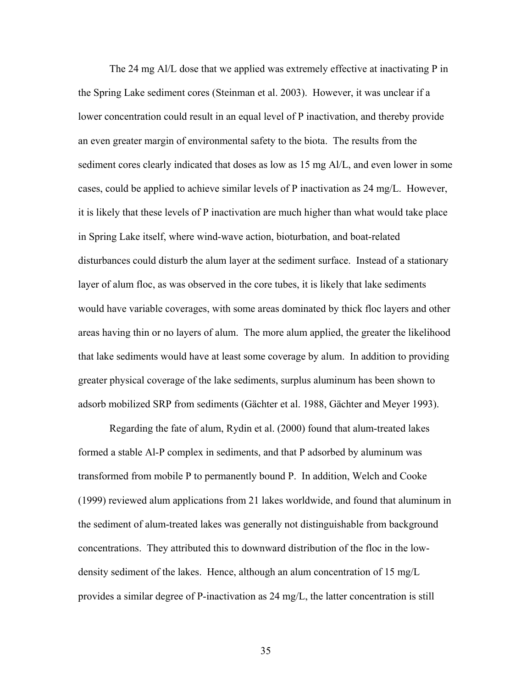The 24 mg Al/L dose that we applied was extremely effective at inactivating P in the Spring Lake sediment cores (Steinman et al. 2003). However, it was unclear if a lower concentration could result in an equal level of P inactivation, and thereby provide an even greater margin of environmental safety to the biota. The results from the sediment cores clearly indicated that doses as low as 15 mg Al/L, and even lower in some cases, could be applied to achieve similar levels of P inactivation as 24 mg/L. However, it is likely that these levels of P inactivation are much higher than what would take place in Spring Lake itself, where wind-wave action, bioturbation, and boat-related disturbances could disturb the alum layer at the sediment surface. Instead of a stationary layer of alum floc, as was observed in the core tubes, it is likely that lake sediments would have variable coverages, with some areas dominated by thick floc layers and other areas having thin or no layers of alum. The more alum applied, the greater the likelihood that lake sediments would have at least some coverage by alum. In addition to providing greater physical coverage of the lake sediments, surplus aluminum has been shown to adsorb mobilized SRP from sediments (Gächter et al. 1988, Gächter and Meyer 1993).

Regarding the fate of alum, Rydin et al. (2000) found that alum-treated lakes formed a stable Al-P complex in sediments, and that P adsorbed by aluminum was transformed from mobile P to permanently bound P. In addition, Welch and Cooke (1999) reviewed alum applications from 21 lakes worldwide, and found that aluminum in the sediment of alum-treated lakes was generally not distinguishable from background concentrations. They attributed this to downward distribution of the floc in the lowdensity sediment of the lakes. Hence, although an alum concentration of 15 mg/L provides a similar degree of P-inactivation as 24 mg/L, the latter concentration is still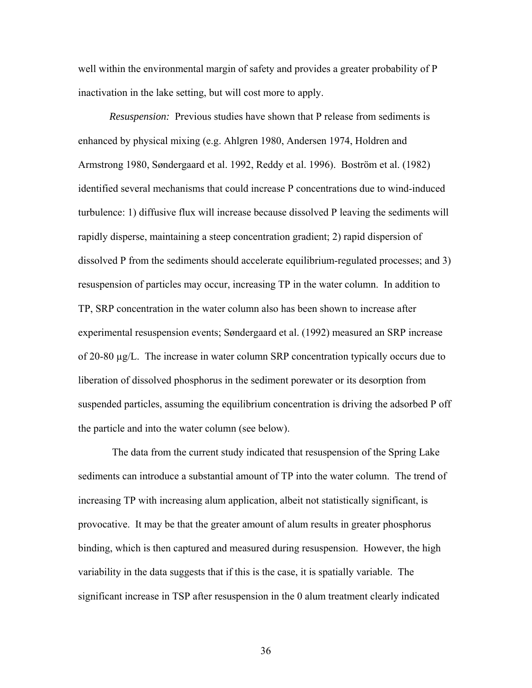well within the environmental margin of safety and provides a greater probability of P inactivation in the lake setting, but will cost more to apply.

*Resuspension:* Previous studies have shown that P release from sediments is enhanced by physical mixing (e.g. Ahlgren 1980, Andersen 1974, Holdren and Armstrong 1980, Søndergaard et al. 1992, Reddy et al. 1996). Boström et al. (1982) identified several mechanisms that could increase P concentrations due to wind-induced turbulence: 1) diffusive flux will increase because dissolved P leaving the sediments will rapidly disperse, maintaining a steep concentration gradient; 2) rapid dispersion of dissolved P from the sediments should accelerate equilibrium-regulated processes; and 3) resuspension of particles may occur, increasing TP in the water column. In addition to TP, SRP concentration in the water column also has been shown to increase after experimental resuspension events; Søndergaard et al. (1992) measured an SRP increase of 20-80 µg/L. The increase in water column SRP concentration typically occurs due to liberation of dissolved phosphorus in the sediment porewater or its desorption from suspended particles, assuming the equilibrium concentration is driving the adsorbed P off the particle and into the water column (see below).

 The data from the current study indicated that resuspension of the Spring Lake sediments can introduce a substantial amount of TP into the water column. The trend of increasing TP with increasing alum application, albeit not statistically significant, is provocative. It may be that the greater amount of alum results in greater phosphorus binding, which is then captured and measured during resuspension. However, the high variability in the data suggests that if this is the case, it is spatially variable. The significant increase in TSP after resuspension in the 0 alum treatment clearly indicated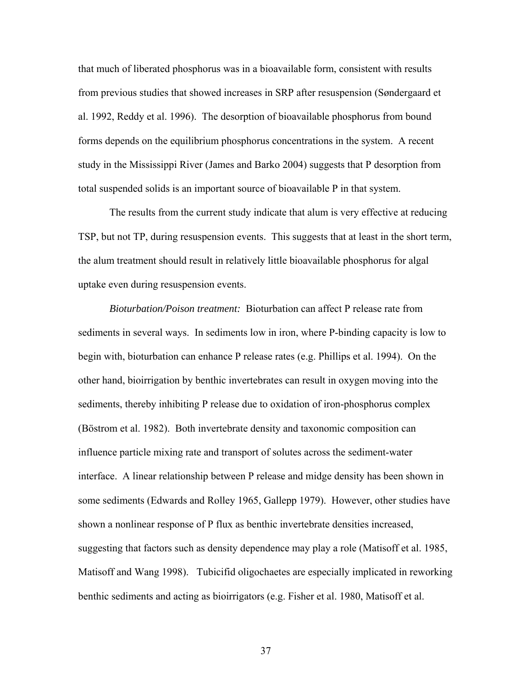that much of liberated phosphorus was in a bioavailable form, consistent with results from previous studies that showed increases in SRP after resuspension (Søndergaard et al. 1992, Reddy et al. 1996). The desorption of bioavailable phosphorus from bound forms depends on the equilibrium phosphorus concentrations in the system. A recent study in the Mississippi River (James and Barko 2004) suggests that P desorption from total suspended solids is an important source of bioavailable P in that system.

The results from the current study indicate that alum is very effective at reducing TSP, but not TP, during resuspension events. This suggests that at least in the short term, the alum treatment should result in relatively little bioavailable phosphorus for algal uptake even during resuspension events.

*Bioturbation/Poison treatment:* Bioturbation can affect P release rate from sediments in several ways. In sediments low in iron, where P-binding capacity is low to begin with, bioturbation can enhance P release rates (e.g. Phillips et al. 1994). On the other hand, bioirrigation by benthic invertebrates can result in oxygen moving into the sediments, thereby inhibiting P release due to oxidation of iron-phosphorus complex (Böstrom et al. 1982). Both invertebrate density and taxonomic composition can influence particle mixing rate and transport of solutes across the sediment-water interface. A linear relationship between P release and midge density has been shown in some sediments (Edwards and Rolley 1965, Gallepp 1979). However, other studies have shown a nonlinear response of P flux as benthic invertebrate densities increased, suggesting that factors such as density dependence may play a role (Matisoff et al. 1985, Matisoff and Wang 1998). Tubicifid oligochaetes are especially implicated in reworking benthic sediments and acting as bioirrigators (e.g. Fisher et al. 1980, Matisoff et al.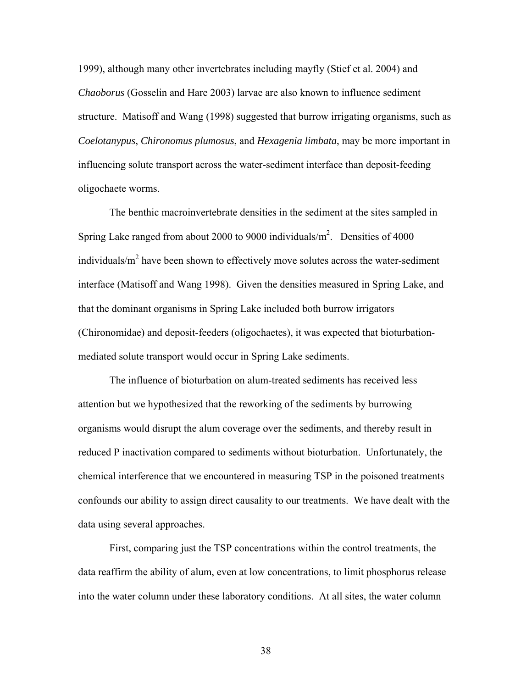1999), although many other invertebrates including mayfly (Stief et al. 2004) and *Chaoborus* (Gosselin and Hare 2003) larvae are also known to influence sediment structure. Matisoff and Wang (1998) suggested that burrow irrigating organisms, such as *Coelotanypus*, *Chironomus plumosus*, and *Hexagenia limbata*, may be more important in influencing solute transport across the water-sediment interface than deposit-feeding oligochaete worms.

The benthic macroinvertebrate densities in the sediment at the sites sampled in Spring Lake ranged from about 2000 to 9000 individuals/ $m^2$ . Densities of 4000 individuals/ $m<sup>2</sup>$  have been shown to effectively move solutes across the water-sediment interface (Matisoff and Wang 1998). Given the densities measured in Spring Lake, and that the dominant organisms in Spring Lake included both burrow irrigators (Chironomidae) and deposit-feeders (oligochaetes), it was expected that bioturbationmediated solute transport would occur in Spring Lake sediments.

The influence of bioturbation on alum-treated sediments has received less attention but we hypothesized that the reworking of the sediments by burrowing organisms would disrupt the alum coverage over the sediments, and thereby result in reduced P inactivation compared to sediments without bioturbation. Unfortunately, the chemical interference that we encountered in measuring TSP in the poisoned treatments confounds our ability to assign direct causality to our treatments. We have dealt with the data using several approaches.

First, comparing just the TSP concentrations within the control treatments, the data reaffirm the ability of alum, even at low concentrations, to limit phosphorus release into the water column under these laboratory conditions. At all sites, the water column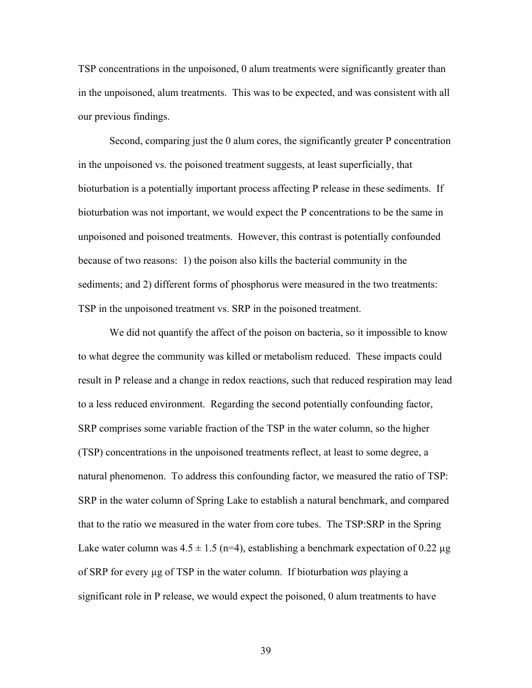TSP concentrations in the unpoisoned, 0 alum treatments were significantly greater than in the unpoisoned, alum treatments. This was to be expected, and was consistent with all our previous findings.

Second, comparing just the 0 alum cores, the significantly greater P concentration in the unpoisoned vs. the poisoned treatment suggests, at least superficially, that bioturbation is a potentially important process affecting P release in these sediments. If bioturbation was not important, we would expect the P concentrations to be the same in unpoisoned and poisoned treatments. However, this contrast is potentially confounded because of two reasons: 1) the poison also kills the bacterial community in the sediments; and 2) different forms of phosphorus were measured in the two treatments: TSP in the unpoisoned treatment vs. SRP in the poisoned treatment.

We did not quantify the affect of the poison on bacteria, so it impossible to know to what degree the community was killed or metabolism reduced. These impacts could result in P release and a change in redox reactions, such that reduced respiration may lead to a less reduced environment. Regarding the second potentially confounding factor, SRP comprises some variable fraction of the TSP in the water column, so the higher (TSP) concentrations in the unpoisoned treatments reflect, at least to some degree, a natural phenomenon. To address this confounding factor, we measured the ratio of TSP: SRP in the water column of Spring Lake to establish a natural benchmark, and compared that to the ratio we measured in the water from core tubes. The TSP:SRP in the Spring Lake water column was  $4.5 \pm 1.5$  (n=4), establishing a benchmark expectation of 0.22 µg of SRP for every µg of TSP in the water column. If bioturbation *was* playing a significant role in P release, we would expect the poisoned, 0 alum treatments to have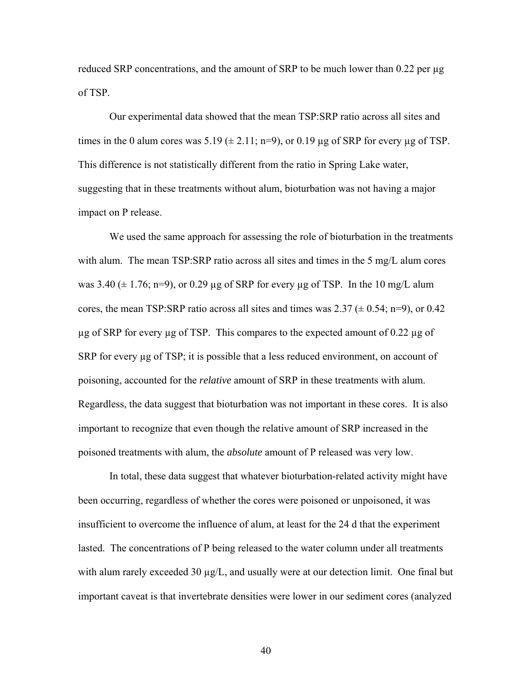reduced SRP concentrations, and the amount of SRP to be much lower than  $0.22$  per  $\mu$ g of TSP.

Our experimental data showed that the mean TSP:SRP ratio across all sites and times in the 0 alum cores was  $5.19 \ (\pm 2.11; n=9)$ , or 0.19 µg of SRP for every µg of TSP. This difference is not statistically different from the ratio in Spring Lake water, suggesting that in these treatments without alum, bioturbation was not having a major impact on P release.

We used the same approach for assessing the role of bioturbation in the treatments with alum. The mean TSP:SRP ratio across all sites and times in the 5 mg/L alum cores was 3.40  $(\pm 1.76; n=9)$ , or 0.29 µg of SRP for every µg of TSP. In the 10 mg/L alum cores, the mean TSP:SRP ratio across all sites and times was  $2.37 \ (\pm 0.54; n=9)$ , or  $0.42$  $\mu$ g of SRP for every  $\mu$ g of TSP. This compares to the expected amount of 0.22  $\mu$ g of SRP for every  $\mu$ g of TSP; it is possible that a less reduced environment, on account of poisoning, accounted for the *relative* amount of SRP in these treatments with alum. Regardless, the data suggest that bioturbation was not important in these cores. It is also important to recognize that even though the relative amount of SRP increased in the poisoned treatments with alum, the *absolute* amount of P released was very low.

In total, these data suggest that whatever bioturbation-related activity might have been occurring, regardless of whether the cores were poisoned or unpoisoned, it was insufficient to overcome the influence of alum, at least for the 24 d that the experiment lasted. The concentrations of P being released to the water column under all treatments with alum rarely exceeded 30  $\mu$ g/L, and usually were at our detection limit. One final but important caveat is that invertebrate densities were lower in our sediment cores (analyzed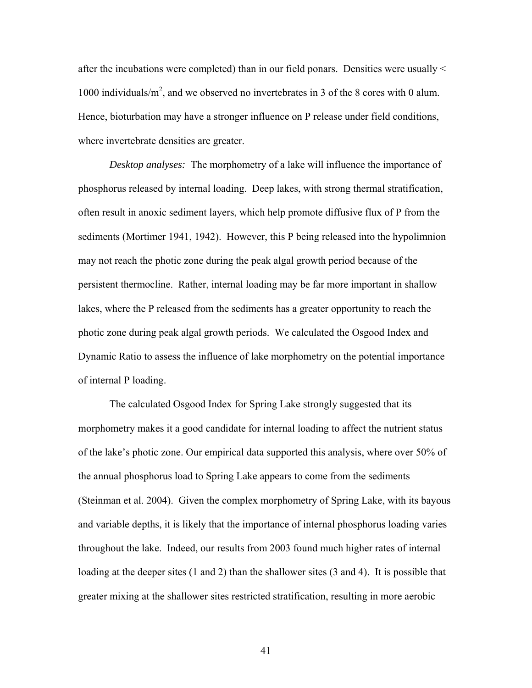after the incubations were completed) than in our field ponars. Densities were usually < 1000 individuals/ $m^2$ , and we observed no invertebrates in 3 of the 8 cores with 0 alum. Hence, bioturbation may have a stronger influence on P release under field conditions, where invertebrate densities are greater.

*Desktop analyses:* The morphometry of a lake will influence the importance of phosphorus released by internal loading. Deep lakes, with strong thermal stratification, often result in anoxic sediment layers, which help promote diffusive flux of P from the sediments (Mortimer 1941, 1942). However, this P being released into the hypolimnion may not reach the photic zone during the peak algal growth period because of the persistent thermocline. Rather, internal loading may be far more important in shallow lakes, where the P released from the sediments has a greater opportunity to reach the photic zone during peak algal growth periods. We calculated the Osgood Index and Dynamic Ratio to assess the influence of lake morphometry on the potential importance of internal P loading.

The calculated Osgood Index for Spring Lake strongly suggested that its morphometry makes it a good candidate for internal loading to affect the nutrient status of the lake's photic zone. Our empirical data supported this analysis, where over 50% of the annual phosphorus load to Spring Lake appears to come from the sediments (Steinman et al. 2004). Given the complex morphometry of Spring Lake, with its bayous and variable depths, it is likely that the importance of internal phosphorus loading varies throughout the lake. Indeed, our results from 2003 found much higher rates of internal loading at the deeper sites (1 and 2) than the shallower sites (3 and 4). It is possible that greater mixing at the shallower sites restricted stratification, resulting in more aerobic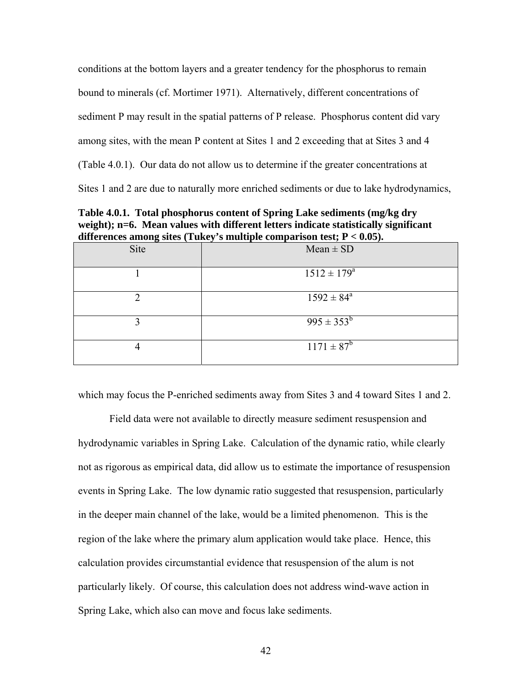conditions at the bottom layers and a greater tendency for the phosphorus to remain bound to minerals (cf. Mortimer 1971). Alternatively, different concentrations of sediment P may result in the spatial patterns of P release. Phosphorus content did vary among sites, with the mean P content at Sites 1 and 2 exceeding that at Sites 3 and 4 (Table 4.0.1). Our data do not allow us to determine if the greater concentrations at Sites 1 and 2 are due to naturally more enriched sediments or due to lake hydrodynamics,

**Table 4.0.1. Total phosphorus content of Spring Lake sediments (mg/kg dry**  weight); n=6. Mean values with different letters indicate statistically significant **differences among sites (Tukey's multiple comparison test; P < 0.05).** 

|      | $\frac{1}{2}$ and $\frac{1}{2}$ and $\frac{1}{2}$ and $\frac{1}{2}$ and $\frac{1}{2}$ comparison test, $\frac{1}{2}$ |
|------|----------------------------------------------------------------------------------------------------------------------|
| Site | $Mean \pm SD$                                                                                                        |
|      | $1512 \pm 179^{\rm a}$                                                                                               |
| ◠    | $1592 \pm 84^{\circ}$                                                                                                |
| 2    | $995 \pm 353^b$                                                                                                      |
| 4    | $1171 \pm 87^b$                                                                                                      |

which may focus the P-enriched sediments away from Sites 3 and 4 toward Sites 1 and 2.

Field data were not available to directly measure sediment resuspension and hydrodynamic variables in Spring Lake. Calculation of the dynamic ratio, while clearly not as rigorous as empirical data, did allow us to estimate the importance of resuspension events in Spring Lake. The low dynamic ratio suggested that resuspension, particularly in the deeper main channel of the lake, would be a limited phenomenon. This is the region of the lake where the primary alum application would take place. Hence, this calculation provides circumstantial evidence that resuspension of the alum is not particularly likely. Of course, this calculation does not address wind-wave action in Spring Lake, which also can move and focus lake sediments.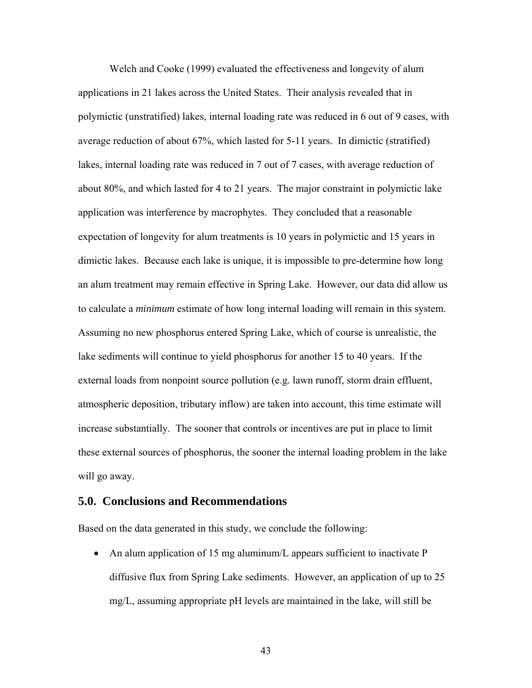Welch and Cooke (1999) evaluated the effectiveness and longevity of alum applications in 21 lakes across the United States. Their analysis revealed that in polymictic (unstratified) lakes, internal loading rate was reduced in 6 out of 9 cases, with average reduction of about 67%, which lasted for 5-11 years. In dimictic (stratified) lakes, internal loading rate was reduced in 7 out of 7 cases, with average reduction of about 80%, and which lasted for 4 to 21 years. The major constraint in polymictic lake application was interference by macrophytes. They concluded that a reasonable expectation of longevity for alum treatments is 10 years in polymictic and 15 years in dimictic lakes. Because each lake is unique, it is impossible to pre-determine how long an alum treatment may remain effective in Spring Lake. However, our data did allow us to calculate a *minimum* estimate of how long internal loading will remain in this system. Assuming no new phosphorus entered Spring Lake, which of course is unrealistic, the lake sediments will continue to yield phosphorus for another 15 to 40 years. If the external loads from nonpoint source pollution (e.g. lawn runoff, storm drain effluent, atmospheric deposition, tributary inflow) are taken into account, this time estimate will increase substantially. The sooner that controls or incentives are put in place to limit these external sources of phosphorus, the sooner the internal loading problem in the lake will go away.

#### **5.0. Conclusions and Recommendations**

Based on the data generated in this study, we conclude the following:

• An alum application of 15 mg aluminum/L appears sufficient to inactivate P diffusive flux from Spring Lake sediments. However, an application of up to 25 mg/L, assuming appropriate pH levels are maintained in the lake, will still be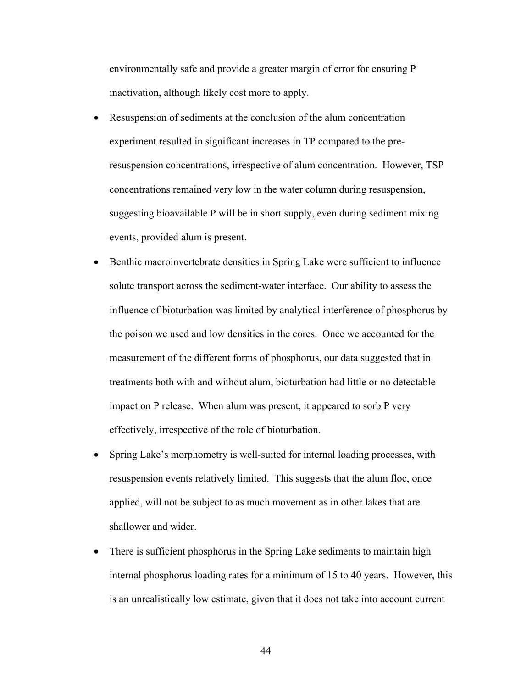environmentally safe and provide a greater margin of error for ensuring P inactivation, although likely cost more to apply.

- Resuspension of sediments at the conclusion of the alum concentration experiment resulted in significant increases in TP compared to the preresuspension concentrations, irrespective of alum concentration. However, TSP concentrations remained very low in the water column during resuspension, suggesting bioavailable P will be in short supply, even during sediment mixing events, provided alum is present.
- Benthic macroinvertebrate densities in Spring Lake were sufficient to influence solute transport across the sediment-water interface. Our ability to assess the influence of bioturbation was limited by analytical interference of phosphorus by the poison we used and low densities in the cores. Once we accounted for the measurement of the different forms of phosphorus, our data suggested that in treatments both with and without alum, bioturbation had little or no detectable impact on P release. When alum was present, it appeared to sorb P very effectively, irrespective of the role of bioturbation.
- Spring Lake's morphometry is well-suited for internal loading processes, with resuspension events relatively limited. This suggests that the alum floc, once applied, will not be subject to as much movement as in other lakes that are shallower and wider.
- There is sufficient phosphorus in the Spring Lake sediments to maintain high internal phosphorus loading rates for a minimum of 15 to 40 years. However, this is an unrealistically low estimate, given that it does not take into account current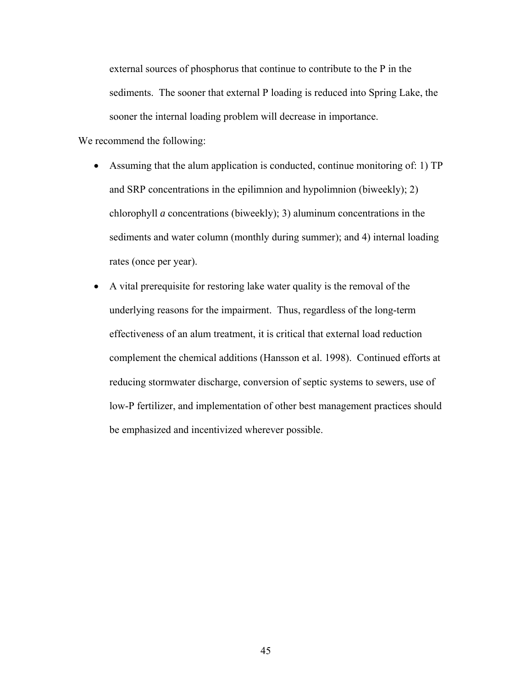external sources of phosphorus that continue to contribute to the P in the sediments. The sooner that external P loading is reduced into Spring Lake, the sooner the internal loading problem will decrease in importance.

We recommend the following:

- Assuming that the alum application is conducted, continue monitoring of: 1) TP and SRP concentrations in the epilimnion and hypolimnion (biweekly); 2) chlorophyll *a* concentrations (biweekly); 3) aluminum concentrations in the sediments and water column (monthly during summer); and 4) internal loading rates (once per year).
- A vital prerequisite for restoring lake water quality is the removal of the underlying reasons for the impairment. Thus, regardless of the long-term effectiveness of an alum treatment, it is critical that external load reduction complement the chemical additions (Hansson et al. 1998). Continued efforts at reducing stormwater discharge, conversion of septic systems to sewers, use of low-P fertilizer, and implementation of other best management practices should be emphasized and incentivized wherever possible.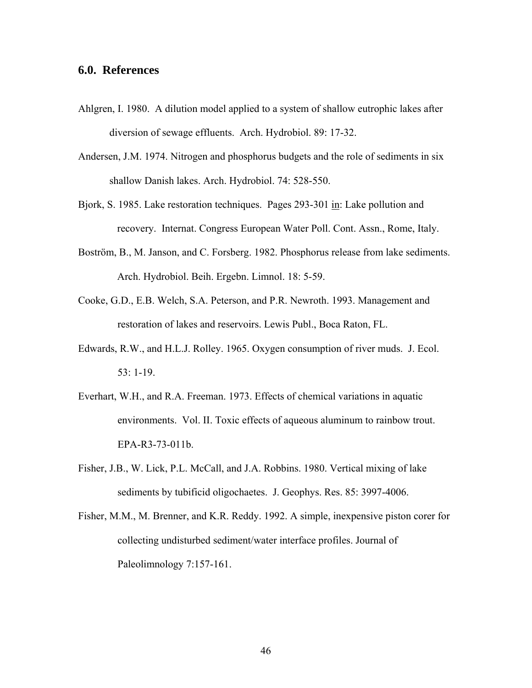#### **6.0. References**

- Ahlgren, I. 1980. A dilution model applied to a system of shallow eutrophic lakes after diversion of sewage effluents. Arch. Hydrobiol. 89: 17-32.
- Andersen, J.M. 1974. Nitrogen and phosphorus budgets and the role of sediments in six shallow Danish lakes. Arch. Hydrobiol. 74: 528-550.
- Bjork, S. 1985. Lake restoration techniques. Pages 293-301 in: Lake pollution and recovery. Internat. Congress European Water Poll. Cont. Assn., Rome, Italy.
- Boström, B., M. Janson, and C. Forsberg. 1982. Phosphorus release from lake sediments. Arch. Hydrobiol. Beih. Ergebn. Limnol. 18: 5-59.
- Cooke, G.D., E.B. Welch, S.A. Peterson, and P.R. Newroth. 1993. Management and restoration of lakes and reservoirs. Lewis Publ., Boca Raton, FL.
- Edwards, R.W., and H.L.J. Rolley. 1965. Oxygen consumption of river muds. J. Ecol. 53: 1-19.
- Everhart, W.H., and R.A. Freeman. 1973. Effects of chemical variations in aquatic environments. Vol. II. Toxic effects of aqueous aluminum to rainbow trout. EPA-R3-73-011b.
- Fisher, J.B., W. Lick, P.L. McCall, and J.A. Robbins. 1980. Vertical mixing of lake sediments by tubificid oligochaetes. J. Geophys. Res. 85: 3997-4006.
- Fisher, M.M., M. Brenner, and K.R. Reddy. 1992. A simple, inexpensive piston corer for collecting undisturbed sediment/water interface profiles. Journal of Paleolimnology 7:157-161.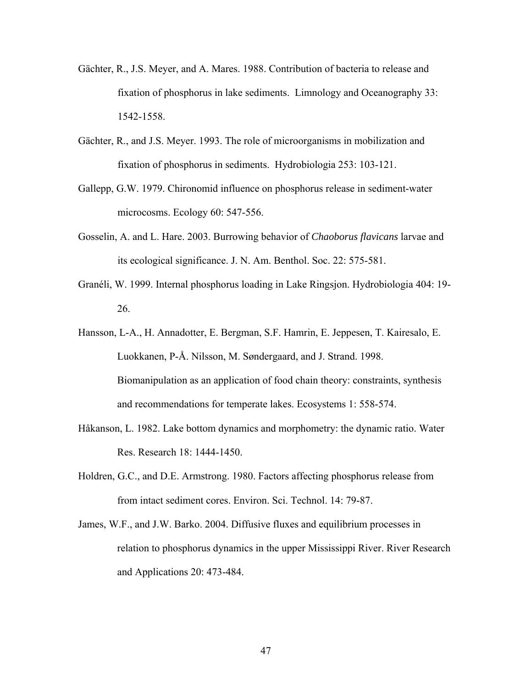- Gächter, R., J.S. Meyer, and A. Mares. 1988. Contribution of bacteria to release and fixation of phosphorus in lake sediments. Limnology and Oceanography 33: 1542-1558.
- Gächter, R., and J.S. Meyer. 1993. The role of microorganisms in mobilization and fixation of phosphorus in sediments. Hydrobiologia 253: 103-121.
- Gallepp, G.W. 1979. Chironomid influence on phosphorus release in sediment-water microcosms. Ecology 60: 547-556.
- Gosselin, A. and L. Hare. 2003. Burrowing behavior of *Chaoborus flavicans* larvae and its ecological significance. J. N. Am. Benthol. Soc. 22: 575-581.
- Granéli, W. 1999. Internal phosphorus loading in Lake Ringsjon. Hydrobiologia 404: 19- 26.
- Hansson, L-A., H. Annadotter, E. Bergman, S.F. Hamrin, E. Jeppesen, T. Kairesalo, E. Luokkanen, P-Å. Nilsson, M. Søndergaard, and J. Strand. 1998. Biomanipulation as an application of food chain theory: constraints, synthesis and recommendations for temperate lakes. Ecosystems 1: 558-574.
- Håkanson, L. 1982. Lake bottom dynamics and morphometry: the dynamic ratio. Water Res. Research 18: 1444-1450.
- Holdren, G.C., and D.E. Armstrong. 1980. Factors affecting phosphorus release from from intact sediment cores. Environ. Sci. Technol. 14: 79-87.
- James, W.F., and J.W. Barko. 2004. Diffusive fluxes and equilibrium processes in relation to phosphorus dynamics in the upper Mississippi River. River Research and Applications 20: 473-484.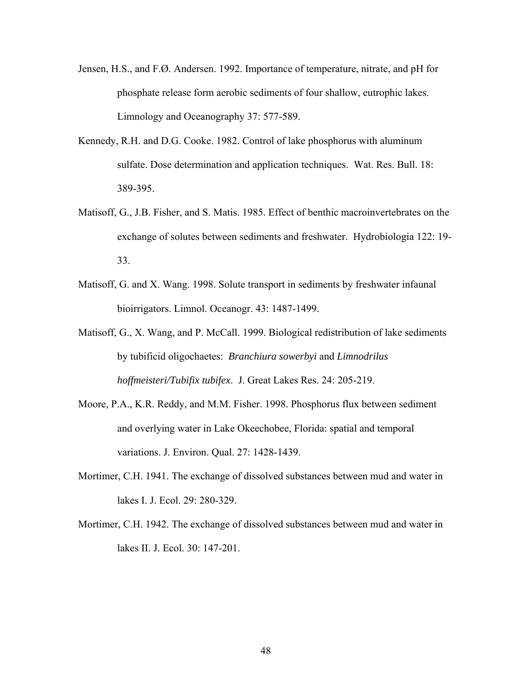- Jensen, H.S., and F.Ø. Andersen. 1992. Importance of temperature, nitrate, and pH for phosphate release form aerobic sediments of four shallow, eutrophic lakes. Limnology and Oceanography 37: 577-589.
- Kennedy, R.H. and D.G. Cooke. 1982. Control of lake phosphorus with aluminum sulfate. Dose determination and application techniques. Wat. Res. Bull. 18: 389-395.
- Matisoff, G., J.B. Fisher, and S. Matis. 1985. Effect of benthic macroinvertebrates on the exchange of solutes between sediments and freshwater. Hydrobiologia 122: 19- 33.
- Matisoff, G. and X. Wang. 1998. Solute transport in sediments by freshwater infaunal bioirrigators. Limnol. Oceanogr. 43: 1487-1499.
- Matisoff, G., X. Wang, and P. McCall. 1999. Biological redistribution of lake sediments by tubificid oligochaetes: *Branchiura sowerbyi* and *Limnodrilus hoffmeisteri/Tubifix tubifex*. J. Great Lakes Res. 24: 205-219.
- Moore, P.A., K.R. Reddy, and M.M. Fisher. 1998. Phosphorus flux between sediment and overlying water in Lake Okeechobee, Florida: spatial and temporal variations. J. Environ. Qual. 27: 1428-1439.
- Mortimer, C.H. 1941. The exchange of dissolved substances between mud and water in lakes I. J. Ecol. 29: 280-329.
- Mortimer, C.H. 1942. The exchange of dissolved substances between mud and water in lakes II. J. Ecol. 30: 147-201.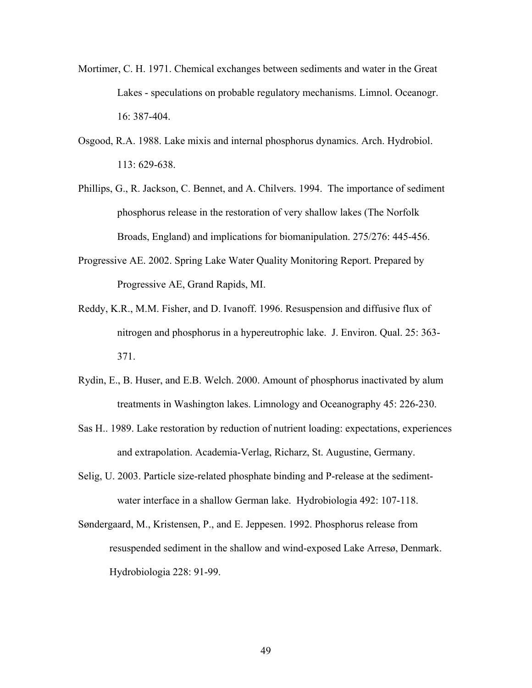- Mortimer, C. H. 1971. Chemical exchanges between sediments and water in the Great Lakes - speculations on probable regulatory mechanisms. Limnol. Oceanogr. 16: 387-404.
- Osgood, R.A. 1988. Lake mixis and internal phosphorus dynamics. Arch. Hydrobiol. 113: 629-638.
- Phillips, G., R. Jackson, C. Bennet, and A. Chilvers. 1994. The importance of sediment phosphorus release in the restoration of very shallow lakes (The Norfolk Broads, England) and implications for biomanipulation. 275/276: 445-456.
- Progressive AE. 2002. Spring Lake Water Quality Monitoring Report. Prepared by Progressive AE, Grand Rapids, MI.
- Reddy, K.R., M.M. Fisher, and D. Ivanoff. 1996. Resuspension and diffusive flux of nitrogen and phosphorus in a hypereutrophic lake. J. Environ. Qual. 25: 363- 371.
- Rydin, E., B. Huser, and E.B. Welch. 2000. Amount of phosphorus inactivated by alum treatments in Washington lakes. Limnology and Oceanography 45: 226-230.
- Sas H.. 1989. Lake restoration by reduction of nutrient loading: expectations, experiences and extrapolation. Academia-Verlag, Richarz, St. Augustine, Germany.
- Selig, U. 2003. Particle size-related phosphate binding and P-release at the sedimentwater interface in a shallow German lake. Hydrobiologia 492: 107-118.
- Søndergaard, M., Kristensen, P., and E. Jeppesen. 1992. Phosphorus release from resuspended sediment in the shallow and wind-exposed Lake Arresø, Denmark. Hydrobiologia 228: 91-99.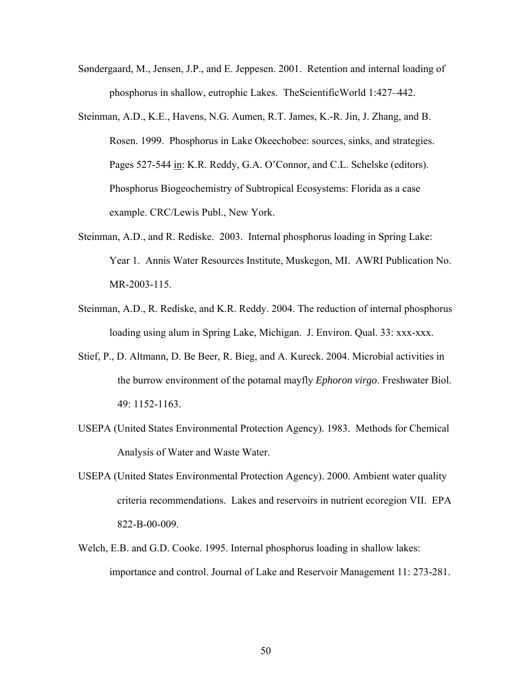- Søndergaard, M., Jensen, J.P., and E. Jeppesen. 2001. Retention and internal loading of phosphorus in shallow, eutrophic Lakes. TheScientificWorld 1:427–442.
- Steinman, A.D., K.E., Havens, N.G. Aumen, R.T. James, K.-R. Jin, J. Zhang, and B. Rosen. 1999. Phosphorus in Lake Okeechobee: sources, sinks, and strategies. Pages 527-544 in: K.R. Reddy, G.A. O'Connor, and C.L. Schelske (editors). Phosphorus Biogeochemistry of Subtropical Ecosystems: Florida as a case example. CRC/Lewis Publ., New York.
- Steinman, A.D., and R. Rediske. 2003. Internal phosphorus loading in Spring Lake: Year 1. Annis Water Resources Institute, Muskegon, MI. AWRI Publication No. MR-2003-115.
- Steinman, A.D., R. Rediske, and K.R. Reddy. 2004. The reduction of internal phosphorus loading using alum in Spring Lake, Michigan. J. Environ. Qual. 33: xxx-xxx.
- Stief, P., D. Altmann, D. Be Beer, R. Bieg, and A. Kureck. 2004. Microbial activities in the burrow environment of the potamal mayfly *Ephoron virgo*. Freshwater Biol. 49: 1152-1163.
- USEPA (United States Environmental Protection Agency). 1983. Methods for Chemical Analysis of Water and Waste Water.
- USEPA (United States Environmental Protection Agency). 2000. Ambient water quality criteria recommendations. Lakes and reservoirs in nutrient ecoregion VII. EPA 822-B-00-009.
- Welch, E.B. and G.D. Cooke. 1995. Internal phosphorus loading in shallow lakes: importance and control. Journal of Lake and Reservoir Management 11: 273-281.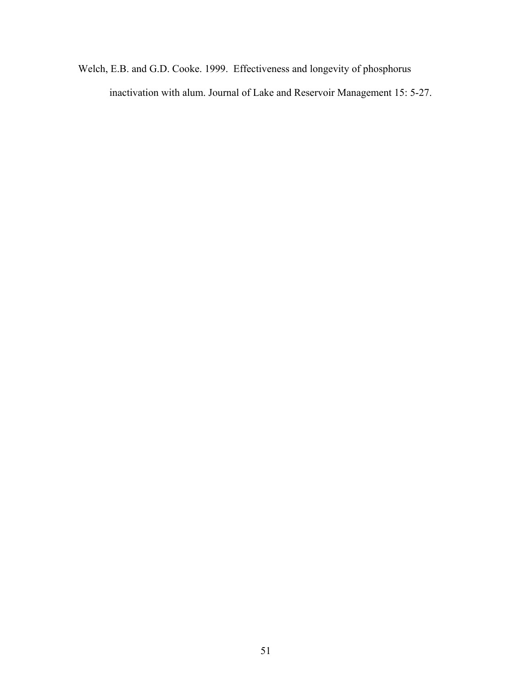Welch, E.B. and G.D. Cooke. 1999. Effectiveness and longevity of phosphorus inactivation with alum. Journal of Lake and Reservoir Management 15: 5-27.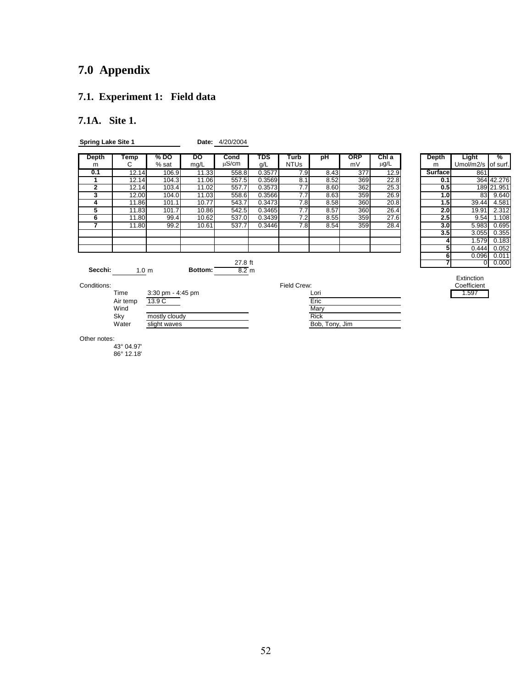# **7.0 Appendix**

### **7.1. Experiment 1: Field data**

### **7.1A. Site 1.**

**Spring Lake Site 1 <b>Date:** 4/20/2004

| Depth   | Temp             | % DO  | DO      | Cond            | TDS    | Turb        | рH   | <b>ORP</b> | Chl a     | Depth            | Light     | %          |
|---------|------------------|-------|---------|-----------------|--------|-------------|------|------------|-----------|------------------|-----------|------------|
| m       | С                | % sat | mg/L    | $\mu$ S/cm      | g/L    | <b>NTUs</b> |      | mV         | $\mu$ g/L | m                | Umol/m2/s | of surf.   |
| 0.1     | 12.14            | 106.9 | 11.33   | 558.8           | 0.3577 | 7.9         | 8.43 | 377        | 12.9      | Surface          | 861       |            |
|         | 12.14            | 104.3 | 11.06   | 557.5           | 0.3569 | 8.1         | 8.52 | 369        | 22.8      | 0.11             |           | 364 42.276 |
| 2       | 12.14            | 103.4 | 11.02   | 557.7           | 0.3573 | 7.7         | 8.60 | 362        | 25.3      | 0.5              |           | 189 21.951 |
| 3       | 12.00            | 104.0 | 11.03   | 558.6           | 0.3566 | 7.7         | 8.63 | 359        | 26.9      | 1.0              | 83        | 9.640      |
| 4       | 11.86            | 101.1 | 10.77   | 543.7           | 0.3473 | 7.8         | 8.58 | 360        | 20.8      | 1.5              | 39.44     | 4.581      |
| 5       | 11.83            | 101.7 | 10.86   | 542.5           | 0.3465 | 7.7         | 8.57 | 360        | 26.4      | 2.0              | 19.91     | 2.312      |
| 6       | 11.80            | 99.4  | 10.62   | 537.0           | 0.3439 | 7.2         | 8.55 | 359        | 27.6      | 2.5              | 9.54      | 1.108      |
|         | 11.80            | 99.2  | 10.61   | 537.7           | 0.3446 | 7.8         | 8.54 | 359        | 28.4      | 3.0 <sub>l</sub> | 5.983     | 0.695      |
|         |                  |       |         |                 |        |             |      |            |           | 3.5              | 3.055     | 0.355      |
|         |                  |       |         |                 |        |             |      |            |           |                  | 1.579     | 0.183      |
|         |                  |       |         |                 |        |             |      |            |           | 5                | 0.444     | 0.052      |
|         |                  |       |         |                 |        |             |      |            |           | 6                | 0.096     | 0.011      |
|         |                  |       |         | 27.8 ft         |        |             |      |            |           |                  |           | 0.000      |
| Secchi: | 1.0 <sub>m</sub> |       | Bottom: | $8.2 \text{ m}$ |        |             |      |            |           |                  |           |            |

| ١d<br>m           | TDS<br>g/L | Turb<br><b>NTUs</b> | pH   | <b>ORP</b><br>mV | Chl a<br>$\mu$ g/L | Depth<br>m     | <b>Light</b><br>Umol/m2/s | %<br>of surf. |
|-------------------|------------|---------------------|------|------------------|--------------------|----------------|---------------------------|---------------|
| 58.8              | 0.3577     | 7.9                 | 8.43 | 377              | 12.9               | <b>Surface</b> | 861                       |               |
| 57.5              | 0.3569     | 8.1                 | 8.52 | 369              | 22.8               | 0.1            | 364                       | 42.276        |
| 57.7              | 0.3573     | 7.7                 | 8.60 | 362              | 25.3               | 0.5            |                           | 189 21.951    |
| 58.6              | 0.3566     | 7.7                 | 8.63 | 359              | 26.9               | 1.0            | 83                        | 9.640         |
| 43.7              | 0.3473     | 7.8                 | 8.58 | 360              | 20.8               | 1.5            | 39.44                     | 4.581         |
| 42.5              | 0.3465     | 7.7                 | 8.57 | 360              | 26.4               | 2.0            | 19.91                     | 2.312         |
| $\overline{37.0}$ | 0.3439     | 7.2                 | 8.55 | 359              | 27.6               | 2.5            | 9.54                      | 1.108         |
| $\overline{37.7}$ | 0.3446     | 7.8                 | 8.54 | 359              | 28.4               | 3.0            | 5.983                     | 0.695         |
|                   |            |                     |      |                  |                    | 3.5            | 3.055                     | 0.355         |
|                   |            |                     |      |                  |                    |                | 1.579                     | 0.183         |
|                   |            |                     |      |                  |                    | 5              | 0.444                     | 0.052         |
|                   |            |                     |      |                  |                    | 6              | 0.096                     | 0.011         |
| 27.8 ft           |            |                     |      |                  |                    |                | 0                         | 0.000         |

| Time     | $3:30$ pm - $4:45$ pm | Lori           |
|----------|-----------------------|----------------|
| Air temp | 13.9 C                | Eric           |
| Wind     |                       | Marv           |
| Sky      | mostly cloudy         | Rick           |
| Water    | slight waves          | Bob, Tony, Jim |

| Conditions: | --<br>Field:<br>I Crew: | Coefficient |
|-------------|-------------------------|-------------|
|             |                         |             |

| Time     | $3:30$ pm - 4:45 pm | Lori           | . 597 |
|----------|---------------------|----------------|-------|
| Air temp | 13.9 C              | Eric           |       |
| Wind     |                     | Mary           |       |
| Skv      | mostly cloudy       | <b>Rick</b>    |       |
| Water    | slight waves        | Bob, Tony, Jim |       |

| Extinction  |
|-------------|
| Coefficient |
| 1.597       |

Other notes:

43° 04.97'

86° 12.18'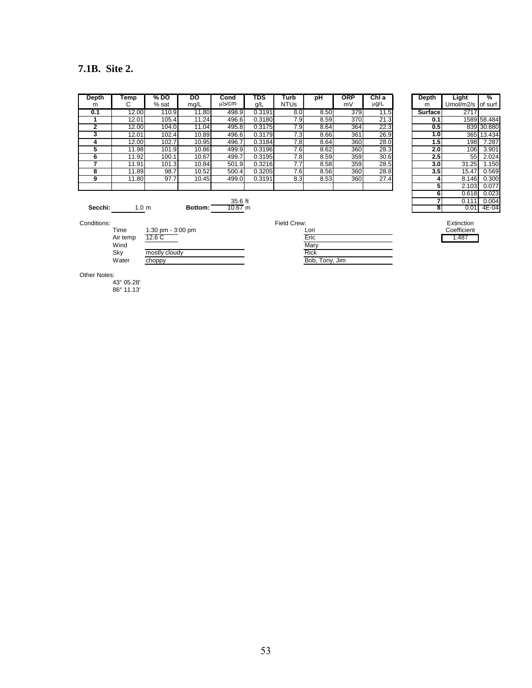### **7.1B. Site 2.**

| Depth | Temp  | % DO               | DO    | Cond  | TDS    | Turb        | рH   | <b>ORP</b> | ChIa      | Depth            | Light     | %           |
|-------|-------|--------------------|-------|-------|--------|-------------|------|------------|-----------|------------------|-----------|-------------|
| m     | U     | % sat              | mg/L  | սՏ/cm | g/L    | <b>NTUs</b> |      | mV         | $\mu$ g/L | m                | Umol/m2/s | of surf.    |
| 0.1   | 12.00 | 110.9              | 11.80 | 498.9 | 0.3191 | 8.0         | 8.50 | 379        | 11.5      | <b>Surface</b>   | 2717      |             |
|       | 12.01 | $105.\overline{4}$ | 11.24 | 496.6 | 0.3180 | 7.9         | 8.59 | 370        | 21.3      | 0.11             |           | 1589 58.484 |
|       | 12.00 | 104.0              | 11.04 | 495.8 | 0.3175 | 7.9         | 8.64 | 364        | 22.3      | 0.5              |           | 839 30.880  |
|       | 12.01 | 102.4              | 10.89 | 496.6 | 0.3179 | 7.3         | 8.66 | 361        | 26.9      | 1.0              |           | 365 13.434  |
|       | 12.00 | 102.7              | 10.95 | 496.7 | 0.3184 | 7.8         | 8.64 | 360        | 28.0      | 1.5              | 198       | 7.287       |
|       | 11.98 | 101.9              | 10.86 | 499.9 | 0.3196 | 7.6         | 8.62 | 360        | 28.3      | 2.0 <sub>l</sub> | 106       | 3.901       |
| n     | 11.92 | 100.1              | 10.67 | 499.7 | 0.3195 | 7.8         | 8.59 | 359        | 30.6      | 2.5              | 55        | 2.024       |
|       | 11.91 | 101.3              | 10.84 | 501.9 | 0.3216 | 7.7         | 8.58 | 359        | 28.5      | 3.0              | 31.25     | 1.150       |
| 8     | 11.89 | 98.7               | 10.52 | 500.4 | 0.3205 | 7.6         | 8.56 | 360        | 28.8      | 3.5              | 15.47     | 0.569       |
| 9     | 11.80 | 97.7               | 10.45 | 499.0 | 0.3191 | 8.3         | 8.53 | 360        | 27.4      | 4                | 8.146     | 0.300       |
|       |       |                    |       |       |        |             |      |            |           | 5                | 2.103     | 0.077       |

| )epth        | Temp             | % DO  | DO      | Cond       | TDS    | Turb        | рH   | <b>ORP</b> | Chl a     | Depth            | Light        | %            |
|--------------|------------------|-------|---------|------------|--------|-------------|------|------------|-----------|------------------|--------------|--------------|
| m            | С                | % sat | mg/L    | $\mu$ S/cm | q/L    | <b>NTUs</b> |      | mV         | $\mu$ g/L | m                | Umol/m $2/s$ | lof surf.    |
| 0.1          | 12.00            | 110.9 | 11.80   | 498.9      | 0.3191 | 8.0         | 8.50 | 379        | 11.5      | <b>Surface</b>   | 2717         |              |
|              | 12.01            | 105.4 | 11.24   | 496.6      | 0.3180 | 7.9         | 8.59 | 370        | 21.3      | 0.1              |              | 1589 58.484  |
| $\mathbf{2}$ | 12.00            | 104.0 | 11.04   | 495.8      | 0.3175 | 7.9         | 8.64 | 364        | 22.3      | 0.5              |              | 839 30.880   |
|              | 12.01            | 102.4 | 10.89   | 496.6      | 0.3179 | 7.3         | 8.66 | 361        | 26.9      | 1.0 <sub>l</sub> |              | 365 13.434   |
| 4            | 12.00            | 102.7 | 10.95   | 496.7      | 0.3184 | 7.8         | 8.64 | 360        | 28.0      | 1.5              | 198          | 7.287        |
| 5            | 11.98            | 101.9 | 10.86   | 499.9      | 0.3196 | 7.6         | 8.62 | 360        | 28.3      | 2.0              | 106          | 3.901        |
| 6            | 11.92            | 100.1 | 10.67   | 499.7      | 0.3195 | 7.8         | 8.59 | 359        | 30.6      | 2.5              | 55           | 2.024        |
|              | 11.91            | 101.3 | 10.84   | 501.9      | 0.3216 | 7.7         | 8.58 | 359        | 28.5      | 3.0 <sub>1</sub> | 31.25        | 1.150        |
| 8            | 11.89            | 98.7  | 10.52   | 500.4      | 0.3205 | 7.6         | 8.56 | 360        | 28.8      | 3.5              | 15.47        | 0.569        |
| 9            | 11.80            | 97.7  | 10.45   | 499.0      | 0.3191 | 8.3         | 8.53 | 360        | 27.4      |                  | 8.146        | 0.300        |
|              |                  |       |         |            |        |             |      |            |           |                  | 2.103        | 0.077        |
|              |                  |       |         |            |        |             |      |            |           |                  | 0.618        | 0.023        |
|              |                  |       |         | 35.6 ft    |        |             |      |            |           |                  | 0.111        | 0.004        |
| Secchi:      | 1.0 <sub>m</sub> |       | Bottom: | $10.67$ m  |        |             |      |            |           |                  |              | $0.01$ 4E-04 |

| Conditions: |          |                    | Field Crew:    | Extinction  |
|-------------|----------|--------------------|----------------|-------------|
|             | Time     | 1:30 pm $-3:00$ pm | Lori           | Coefficient |
|             | Air temp | 12.6 C             | Eric           | .487        |
|             | Wind     |                    | Mary           |             |
|             | Sky      | mostly cloudy      | Rick           |             |
|             | Water    | choppy             | Bob, Tony, Jim |             |
|             |          |                    |                |             |

| Eric           |
|----------------|
| Mary           |
| <b>Rick</b>    |
| Bob, Tony, Jim |

Other Notes:

43° 05.28' 86° 11.13'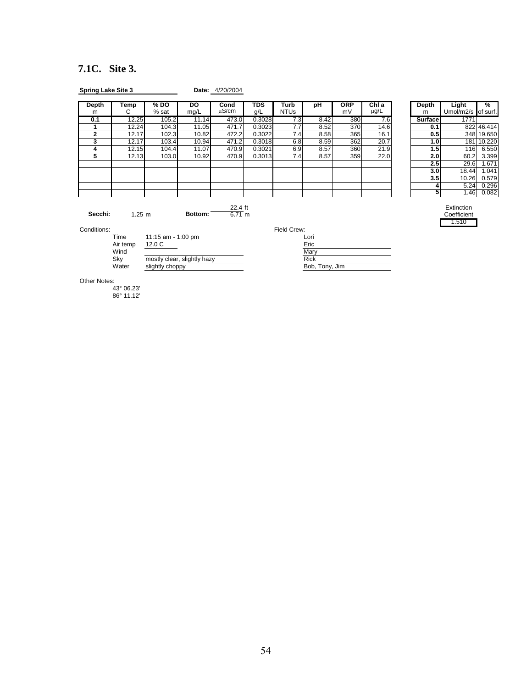# **7.1C. Site 3.**

| <b>Spring Lake Site 3</b> |                          |                             |                             | Date: 4/20/2004     |            |                     |                      |                  |                    |                   |                                    |            |
|---------------------------|--------------------------|-----------------------------|-----------------------------|---------------------|------------|---------------------|----------------------|------------------|--------------------|-------------------|------------------------------------|------------|
| <b>Depth</b><br>m         | Temp<br>С                | % DO<br>% sat               | DO<br>mg/L                  | Cond<br>uS/cm       | TDS<br>g/L | Turb<br><b>NTUs</b> | pH                   | <b>ORP</b><br>mV | ChI a<br>$\mu$ g/L | <b>Depth</b><br>m | Light<br>Umol/m2/s of surf.        | %          |
| 0.1                       | 12.25                    | 105.2                       | 11.14                       | 473.0               | 0.3028     | 7.3                 | 8.42                 | 380              | 7.6                | Surface           | 1771                               |            |
| 1                         | 12.24                    | 104.3                       | 11.05                       | 471.7               | 0.3023     | 7.7                 | 8.52                 | 370              | 14.6               | 0.1               |                                    | 822 46.414 |
| $\overline{2}$            | 12.17                    | 102.3                       | 10.82                       | 472.2               | 0.3022     | 7.4                 | 8.58                 | 365              | 16.1               | 0.5               |                                    | 348 19.650 |
| 3                         | 12.17                    | 103.4                       | 10.94                       | 471.2               | 0.3018     | 6.8                 | 8.59                 | 362              | 20.7               | 1.0               |                                    | 181 10.220 |
| 4                         | 12.15                    | 104.4                       | 11.07                       | 470.9               | 0.3021     | 6.9                 | 8.57                 | 360              | 21.9               | 1.5               | 116                                | 6.550      |
| 5                         | 12.13                    | 103.0                       | 10.92                       | 470.9               | 0.3013     | 7.4                 | 8.57                 | 359              | 22.0               | 2.0               | 60.2                               | 3.399      |
|                           |                          |                             |                             |                     |            |                     |                      |                  |                    | 2.5               | 29.6                               | 1.671      |
|                           |                          |                             |                             |                     |            |                     |                      |                  |                    | 3.0               | 18.44                              | 1.041      |
|                           |                          |                             |                             |                     |            |                     |                      |                  |                    | 3.5               | 10.26                              | 0.579      |
|                           |                          |                             |                             |                     |            |                     |                      |                  |                    |                   | 5.24                               | 0.296      |
|                           |                          |                             |                             |                     |            |                     |                      |                  |                    | 5                 | 1.46                               | 0.082      |
| Secchi:                   | 1.25 m                   |                             | Bottom:                     | 22.4 ft<br>$6.71$ m |            |                     |                      |                  |                    |                   | Extinction<br>Coefficient<br>1.510 |            |
| Conditions:               |                          |                             |                             |                     |            | Field Crew:         |                      |                  |                    |                   |                                    |            |
|                           | Time<br>Air temp<br>Wind | 11:15 am - 1:00 pm<br>12.0C |                             |                     |            |                     | Lori<br>Eric<br>Mary |                  |                    |                   |                                    |            |
|                           | Sky                      |                             | mostly clear, slightly hazy |                     |            |                     | <b>Rick</b>          |                  |                    |                   |                                    |            |
|                           | Water                    | slightly choppy             |                             |                     |            |                     | Bob, Tony, Jim       |                  |                    |                   |                                    |            |
| Other Notes:              | 43° 06.23'               |                             |                             |                     |            |                     |                      |                  |                    |                   |                                    |            |

86° 11.12'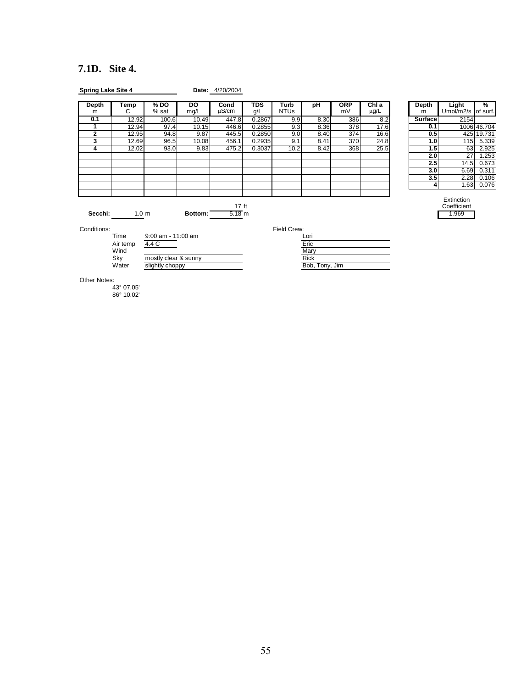# **7.1D. Site 4.**

| <b>Spring Lake Site 4</b> |                                  |                                                  |            | Date: 4/20/2004            |                   |                            |                                               |                  |               |                   |                                    |             |
|---------------------------|----------------------------------|--------------------------------------------------|------------|----------------------------|-------------------|----------------------------|-----------------------------------------------|------------------|---------------|-------------------|------------------------------------|-------------|
| <b>Depth</b><br>m         | Temp<br>С                        | $%$ DO<br>% sat                                  | po<br>mg/L | Cond<br>$\mu$ S/cm         | <b>TDS</b><br>g/L | <b>Turb</b><br><b>NTUs</b> | pH                                            | <b>ORP</b><br>mV | ChI a<br>μg/L | <b>Depth</b><br>m | Light<br>Umol/m2/s of surf.        | %           |
| 0.1                       | 12.92                            | 100.6                                            | 10.49      | 447.8                      | 0.2867            | 9.9                        | 8.30                                          | 386              | 8.2           | <b>Surface</b>    | 2154                               |             |
| 1                         | 12.94                            | 97.4                                             | 10.15      | 446.6                      | 0.2855            | 9.3                        | 8.36                                          | 378              | 17.6          | 0.1               |                                    | 1006 46.704 |
| $\overline{2}$            | 12.95                            | 94.8                                             | 9.87       | 445.5                      | 0.2850            | 9.0                        | 8.40                                          | 374              | 16.6          | 0.5               |                                    | 425 19.731  |
| $\overline{\mathbf{3}}$   | 12.69                            | 96.5                                             | 10.08      | 456.1                      | 0.2935            | 9.1                        | 8.41                                          | 370              | 24.8          | 1.0               | 115                                | 5.339       |
| 4                         | 12.02                            | 93.0                                             | 9.83       | 475.2                      | 0.3037            | 10.2                       | 8.42                                          | 368              | 25.5          | 1.5               | 63                                 | 2.925       |
|                           |                                  |                                                  |            |                            |                   |                            |                                               |                  |               | 2.0               | 27                                 | 1.253       |
|                           |                                  |                                                  |            |                            |                   |                            |                                               |                  |               | 2.5               | 14.5                               | 0.673       |
|                           |                                  |                                                  |            |                            |                   |                            |                                               |                  |               | 3.0               | 6.69                               | 0.311       |
|                           |                                  |                                                  |            |                            |                   |                            |                                               |                  |               | 3.5               | 2.28                               | 0.106       |
|                           |                                  |                                                  |            |                            |                   |                            |                                               |                  |               | 4                 | 1.63                               | 0.076       |
| Secchi:<br>Conditions:    | 1.0 <sub>m</sub><br>Time         | 9:00 am - 11:00 am                               | Bottom:    | 17 <sub>ft</sub><br>5.18 m |                   | Field Crew:                | Lori                                          |                  |               |                   | Extinction<br>Coefficient<br>1.969 |             |
|                           | Air temp<br>Wind<br>Sky<br>Water | 4.4 C<br>mostly clear & sunny<br>slightly choppy |            |                            |                   |                            | Eric<br>Mary<br><b>Rick</b><br>Bob, Tony, Jim |                  |               |                   |                                    |             |
| Other Notes:              | 43° 07.05'<br>86° 10.02'         |                                                  |            |                            |                   |                            |                                               |                  |               |                   |                                    |             |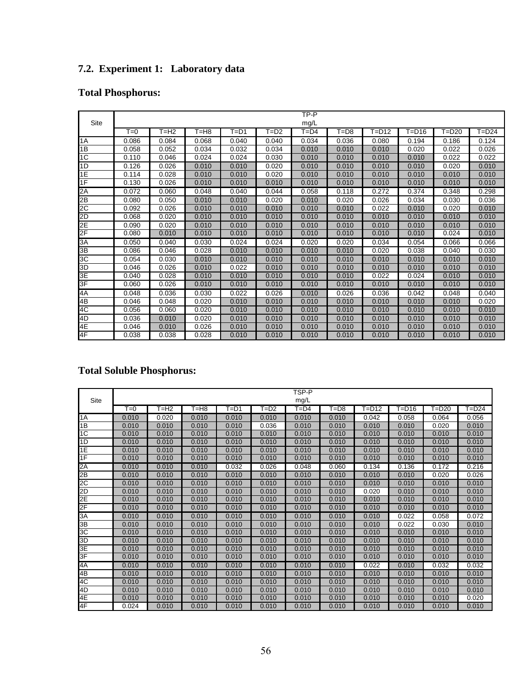# **7.2. Experiment 1: Laboratory data**

# **Total Phosphorus:**

|      |       |       |       |          |       | TP-P     |       |       |       |           |       |
|------|-------|-------|-------|----------|-------|----------|-------|-------|-------|-----------|-------|
| Site |       |       |       |          |       | mg/L     |       |       |       |           |       |
|      | $T=0$ | F=H2  | T=H8  | $T = D1$ | T=D2  | $T = D4$ | T=D8  | T=D12 | T=D16 | $T = D20$ | T=D24 |
| 1A   | 0.086 | 0.084 | 0.068 | 0.040    | 0.040 | 0.034    | 0.036 | 0.080 | 0.194 | 0.186     | 0.124 |
| 1B   | 0.058 | 0.052 | 0.034 | 0.032    | 0.034 | 0.010    | 0.010 | 0.010 | 0.020 | 0.022     | 0.026 |
| 1C   | 0.110 | 0.046 | 0.024 | 0.024    | 0.030 | 0.010    | 0.010 | 0.010 | 0.010 | 0.022     | 0.022 |
| 1D   | 0.126 | 0.026 | 0.010 | 0.010    | 0.020 | 0.010    | 0.010 | 0.010 | 0.010 | 0.020     | 0.010 |
| 1E   | 0.114 | 0.028 | 0.010 | 0.010    | 0.020 | 0.010    | 0.010 | 0.010 | 0.010 | 0.010     | 0.010 |
| 1F   | 0.130 | 0.026 | 0.010 | 0.010    | 0.010 | 0.010    | 0.010 | 0.010 | 0.010 | 0.010     | 0.010 |
| 2A   | 0.072 | 0.060 | 0.048 | 0.040    | 0.044 | 0.058    | 0.118 | 0.272 | 0.374 | 0.348     | 0.298 |
| 2B   | 0.080 | 0.050 | 0.010 | 0.010    | 0.020 | 0.010    | 0.020 | 0.026 | 0.034 | 0.030     | 0.036 |
| 2C   | 0.092 | 0.026 | 0.010 | 0.010    | 0.010 | 0.010    | 0.010 | 0.022 | 0.010 | 0.020     | 0.010 |
| 2D   | 0.068 | 0.020 | 0.010 | 0.010    | 0.010 | 0.010    | 0.010 | 0.010 | 0.010 | 0.010     | 0.010 |
| 2E   | 0.090 | 0.020 | 0.010 | 0.010    | 0.010 | 0.010    | 0.010 | 0.010 | 0.010 | 0.010     | 0.010 |
| 2F   | 0.080 | 0.010 | 0.010 | 0.010    | 0.010 | 0.010    | 0.010 | 0.010 | 0.010 | 0.024     | 0.010 |
| ЗĀ   | 0.050 | 0.040 | 0.030 | 0.024    | 0.024 | 0.020    | 0.020 | 0.034 | 0.054 | 0.066     | 0.066 |
| 3B   | 0.086 | 0.046 | 0.028 | 0.010    | 0.010 | 0.010    | 0.010 | 0.020 | 0.038 | 0.040     | 0.030 |
| ЗC   | 0.054 | 0.030 | 0.010 | 0.010    | 0.010 | 0.010    | 0.010 | 0.010 | 0.010 | 0.010     | 0.010 |
| 3D   | 0.046 | 0.026 | 0.010 | 0.022    | 0.010 | 0.010    | 0.010 | 0.010 | 0.010 | 0.010     | 0.010 |
| 3E   | 0.040 | 0.028 | 0.010 | 0.010    | 0.010 | 0.010    | 0.010 | 0.022 | 0.024 | 0.010     | 0.010 |
| 3F   | 0.060 | 0.026 | 0.010 | 0.010    | 0.010 | 0.010    | 0.010 | 0.010 | 0.010 | 0.010     | 0.010 |
| 4A   | 0.048 | 0.036 | 0.030 | 0.022    | 0.026 | 0.010    | 0.026 | 0.036 | 0.042 | 0.048     | 0.040 |
| 4B   | 0.046 | 0.048 | 0.020 | 0.010    | 0.010 | 0.010    | 0.010 | 0.010 | 0.010 | 0.010     | 0.020 |
| 4C   | 0.056 | 0.060 | 0.020 | 0.010    | 0.010 | 0.010    | 0.010 | 0.010 | 0.010 | 0.010     | 0.010 |
| 4D   | 0.036 | 0.010 | 0.020 | 0.010    | 0.010 | 0.010    | 0.010 | 0.010 | 0.010 | 0.010     | 0.010 |
| 4E   | 0.046 | 0.010 | 0.026 | 0.010    | 0.010 | 0.010    | 0.010 | 0.010 | 0.010 | 0.010     | 0.010 |
| 4F   | 0.038 | 0.038 | 0.028 | 0.010    | 0.010 | 0.010    | 0.010 | 0.010 | 0.010 | 0.010     | 0.010 |

# **Total Soluble Phosphorus:**

|      |                       |        |        |          |        | TSP-P    |          |           |           |           |           |
|------|-----------------------|--------|--------|----------|--------|----------|----------|-----------|-----------|-----------|-----------|
| Site |                       |        |        |          |        | mg/L     |          |           |           |           |           |
|      | $\overline{\Gamma=0}$ | $T=H2$ | $T=H8$ | $T = D1$ | $T=D2$ | $T = D4$ | $F = D8$ | $E = D12$ | $T = D16$ | $F = D20$ | $T = D24$ |
| 1A   | 0.010                 | 0.020  | 0.010  | 0.010    | 0.010  | 0.010    | 0.010    | 0.042     | 0.058     | 0.064     | 0.056     |
| 1B   | 0.010                 | 0.010  | 0.010  | 0.010    | 0.036  | 0.010    | 0.010    | 0.010     | 0.010     | 0.020     | 0.010     |
| 1C   | 0.010                 | 0.010  | 0.010  | 0.010    | 0.010  | 0.010    | 0.010    | 0.010     | 0.010     | 0.010     | 0.010     |
| 1D   | 0.010                 | 0.010  | 0.010  | 0.010    | 0.010  | 0.010    | 0.010    | 0.010     | 0.010     | 0.010     | 0.010     |
| 1E   | 0.010                 | 0.010  | 0.010  | 0.010    | 0.010  | 0.010    | 0.010    | 0.010     | 0.010     | 0.010     | 0.010     |
| 1F   | 0.010                 | 0.010  | 0.010  | 0.010    | 0.010  | 0.010    | 0.010    | 0.010     | 0.010     | 0.010     | 0.010     |
| 2A   | 0.010                 | 0.010  | 0.010  | 0.032    | 0.026  | 0.048    | 0.060    | 0.134     | 0.136     | 0.172     | 0.216     |
| 2B   | 0.010                 | 0.010  | 0.010  | 0.010    | 0.010  | 0.010    | 0.010    | 0.010     | 0.010     | 0.020     | 0.026     |
| SC   | 0.010                 | 0.010  | 0.010  | 0.010    | 0.010  | 0.010    | 0.010    | 0.010     | 0.010     | 0.010     | 0.010     |
| 2D   | 0.010                 | 0.010  | 0.010  | 0.010    | 0.010  | 0.010    | 0.010    | 0.020     | 0.010     | 0.010     | 0.010     |
| 2E   | 0.010                 | 0.010  | 0.010  | 0.010    | 0.010  | 0.010    | 0.010    | 0.010     | 0.010     | 0.010     | 0.010     |
| 2F   | 0.010                 | 0.010  | 0.010  | 0.010    | 0.010  | 0.010    | 0.010    | 0.010     | 0.010     | 0.010     | 0.010     |
| 3A   | 0.010                 | 0.010  | 0.010  | 0.010    | 0.010  | 0.010    | 0.010    | 0.010     | 0.022     | 0.058     | 0.072     |
| 3B   | 0.010                 | 0.010  | 0.010  | 0.010    | 0.010  | 0.010    | 0.010    | 0.010     | 0.022     | 0.030     | 0.010     |
| 3C   | 0.010                 | 0.010  | 0.010  | 0.010    | 0.010  | 0.010    | 0.010    | 0.010     | 0.010     | 0.010     | 0.010     |
| 3D   | 0.010                 | 0.010  | 0.010  | 0.010    | 0.010  | 0.010    | 0.010    | 0.010     | 0.010     | 0.010     | 0.010     |
| 3E   | 0.010                 | 0.010  | 0.010  | 0.010    | 0.010  | 0.010    | 0.010    | 0.010     | 0.010     | 0.010     | 0.010     |
| 3F   | 0.010                 | 0.010  | 0.010  | 0.010    | 0.010  | 0.010    | 0.010    | 0.010     | 0.010     | 0.010     | 0.010     |
| 4A   | 0.010                 | 0.010  | 0.010  | 0.010    | 0.010  | 0.010    | 0.010    | 0.022     | 0.010     | 0.032     | 0.032     |
| 4B   | 0.010                 | 0.010  | 0.010  | 0.010    | 0.010  | 0.010    | 0.010    | 0.010     | 0.010     | 0.010     | 0.010     |
| 4C   | 0.010                 | 0.010  | 0.010  | 0.010    | 0.010  | 0.010    | 0.010    | 0.010     | 0.010     | 0.010     | 0.010     |
| 4D   | 0.010                 | 0.010  | 0.010  | 0.010    | 0.010  | 0.010    | 0.010    | 0.010     | 0.010     | 0.010     | 0.010     |
| 4E   | 0.010                 | 0.010  | 0.010  | 0.010    | 0.010  | 0.010    | 0.010    | 0.010     | 0.010     | 0.010     | 0.020     |
| 4F   | 0.024                 | 0.010  | 0.010  | 0.010    | 0.010  | 0.010    | 0.010    | 0.010     | 0.010     | 0.010     | 0.010     |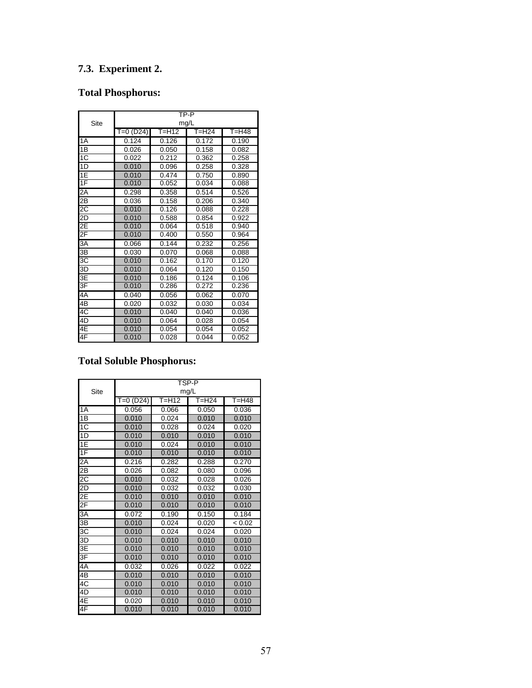# **7.3. Experiment 2.**

# **Total Phosphorus:**

|                 | TP-P      |       |           |       |  |  |  |  |  |  |  |
|-----------------|-----------|-------|-----------|-------|--|--|--|--|--|--|--|
| Site            |           |       | mg/L      |       |  |  |  |  |  |  |  |
|                 | T=0 (D24) | T=H12 | $T = H24$ | T=H48 |  |  |  |  |  |  |  |
| 1A              | 0.124     | 0.126 | 0.172     | 0.190 |  |  |  |  |  |  |  |
| $\overline{1B}$ | 0.026     | 0.050 | 0.158     | 0.082 |  |  |  |  |  |  |  |
| 1C              | 0.022     | 0.212 | 0.362     | 0.258 |  |  |  |  |  |  |  |
| 1 <sub>D</sub>  | 0.010     | 0.096 | 0.258     | 0.328 |  |  |  |  |  |  |  |
| 1E              | 0.010     | 0.474 | 0.750     | 0.890 |  |  |  |  |  |  |  |
| 1F              | 0.010     | 0.052 | 0.034     | 0.088 |  |  |  |  |  |  |  |
| $2\overline{A}$ | 0.298     | 0.358 | 0.514     | 0.526 |  |  |  |  |  |  |  |
| 2B              | 0.036     | 0.158 | 0.206     | 0.340 |  |  |  |  |  |  |  |
| $2\overline{C}$ | 0.010     | 0.126 | 0.088     | 0.228 |  |  |  |  |  |  |  |
| 2D              | 0.010     | 0.588 | 0.854     | 0.922 |  |  |  |  |  |  |  |
| 2E              | 0.010     | 0.064 | 0.518     | 0.940 |  |  |  |  |  |  |  |
| 2F              | 0.010     | 0.400 | 0.550     | 0.964 |  |  |  |  |  |  |  |
| $\overline{3A}$ | 0.066     | 0.144 | 0.232     | 0.256 |  |  |  |  |  |  |  |
| 3B              | 0.030     | 0.070 | 0.068     | 0.088 |  |  |  |  |  |  |  |
| $3\overline{C}$ | 0.010     | 0.162 | 0.170     | 0.120 |  |  |  |  |  |  |  |
| 3D              | 0.010     | 0.064 | 0.120     | 0.150 |  |  |  |  |  |  |  |
| 13Ē             | 0.010     | 0.186 | 0.124     | 0.106 |  |  |  |  |  |  |  |
| 3F              | 0.010     | 0.286 | 0.272     | 0.236 |  |  |  |  |  |  |  |
| 4A              | 0.040     | 0.056 | 0.062     | 0.070 |  |  |  |  |  |  |  |
| 4B              | 0.020     | 0.032 | 0.030     | 0.034 |  |  |  |  |  |  |  |
| 4C              | 0.010     | 0.040 | 0.040     | 0.036 |  |  |  |  |  |  |  |
| 4D              | 0.010     | 0.064 | 0.028     | 0.054 |  |  |  |  |  |  |  |
| 4E              | 0.010     | 0.054 | 0.054     | 0.052 |  |  |  |  |  |  |  |
| 4F              | 0.010     | 0.028 | 0.044     | 0.052 |  |  |  |  |  |  |  |

# **Total Soluble Phosphorus:**

|                          | TSP-P     |       |       |           |  |  |  |  |  |  |  |
|--------------------------|-----------|-------|-------|-----------|--|--|--|--|--|--|--|
| Site                     |           |       | mg/L  |           |  |  |  |  |  |  |  |
|                          | T=0 (D24) | T=H12 | T=H24 | $T = H48$ |  |  |  |  |  |  |  |
| 1A                       | 0.056     | 0.066 | 0.050 | 0.036     |  |  |  |  |  |  |  |
| 1B                       | 0.010     | 0.024 | 0.010 | 0.010     |  |  |  |  |  |  |  |
| 1C                       | 0.010     | 0.028 | 0.024 | 0.020     |  |  |  |  |  |  |  |
| 1D                       | 0.010     | 0.010 | 0.010 | 0.010     |  |  |  |  |  |  |  |
| $\overline{1E}$          | 0.010     | 0.024 | 0.010 | 0.010     |  |  |  |  |  |  |  |
| 1F                       | 0.010     | 0.010 | 0.010 | 0.010     |  |  |  |  |  |  |  |
| 2A                       | 0.216     | 0.282 | 0.288 | 0.270     |  |  |  |  |  |  |  |
| $\overline{\mathsf{2B}}$ | 0.026     | 0.082 | 0.080 | 0.096     |  |  |  |  |  |  |  |
| 2C                       | 0.010     | 0.032 | 0.028 | 0.026     |  |  |  |  |  |  |  |
| 2D                       | 0.010     | 0.032 | 0.032 | 0.030     |  |  |  |  |  |  |  |
| 2E                       | 0.010     | 0.010 | 0.010 | 0.010     |  |  |  |  |  |  |  |
| $2\overline{F}$          | 0.010     | 0.010 | 0.010 | 0.010     |  |  |  |  |  |  |  |
| 3A                       | 0.072     | 0.190 | 0.150 | 0.184     |  |  |  |  |  |  |  |
| 3B                       | 0.010     | 0.024 | 0.020 | < 0.02    |  |  |  |  |  |  |  |
| $3\overline{C}$          | 0.010     | 0.024 | 0.024 | 0.020     |  |  |  |  |  |  |  |
| 3D                       | 0.010     | 0.010 | 0.010 | 0.010     |  |  |  |  |  |  |  |
| 3Ē                       | 0.010     | 0.010 | 0.010 | 0.010     |  |  |  |  |  |  |  |
| 3F                       | 0.010     | 0.010 | 0.010 | 0.010     |  |  |  |  |  |  |  |
| 4A                       | 0.032     | 0.026 | 0.022 | 0.022     |  |  |  |  |  |  |  |
| 4B                       | 0.010     | 0.010 | 0.010 | 0.010     |  |  |  |  |  |  |  |
| 4C                       | 0.010     | 0.010 | 0.010 | 0.010     |  |  |  |  |  |  |  |
| 4D                       | 0.010     | 0.010 | 0.010 | 0.010     |  |  |  |  |  |  |  |
| 4E                       | 0.020     | 0.010 | 0.010 | 0.010     |  |  |  |  |  |  |  |
| 4F                       | 0.010     | 0.010 | 0.010 | 0.010     |  |  |  |  |  |  |  |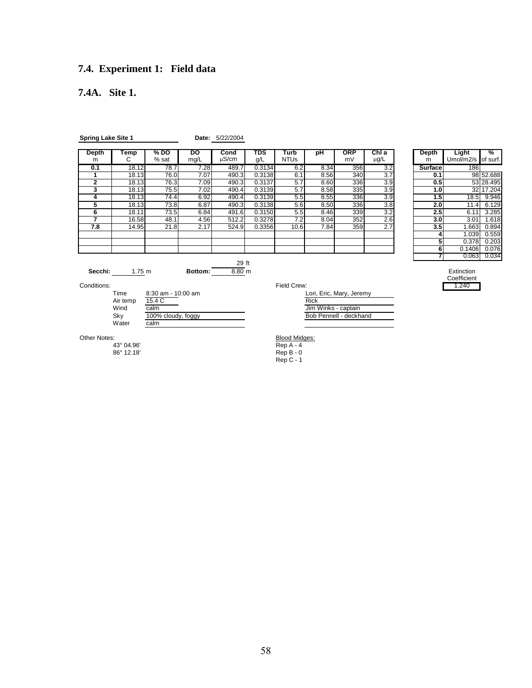# **7.4. Experiment 1: Field data**

### **7.4A. Site 1.**

| <b>Spring Lake Site 1</b>                                                                                     |                |               |            | Date: 5/22/2004    |            |                                     |                                    |                                                    |                    |                |                             |           |
|---------------------------------------------------------------------------------------------------------------|----------------|---------------|------------|--------------------|------------|-------------------------------------|------------------------------------|----------------------------------------------------|--------------------|----------------|-----------------------------|-----------|
| <b>Depth</b><br>m                                                                                             | Temp<br>С      | % DO<br>% sat | DO<br>mg/L | Cond<br>$\mu$ S/cm | TDS<br>q/L | Turb<br><b>NTUs</b>                 | pH                                 | <b>ORP</b><br>mV                                   | Chl a<br>$\mu$ g/L | Depth<br>m     | Light<br>Umol/m2/s of surf. | %         |
| 0.1                                                                                                           | 18.12          | 78.7          | 7.28       | 489.7              | 0.3134     | 6.2                                 | 8.34                               | 356                                                | 3.2                | <b>Surface</b> | 186                         |           |
| 1                                                                                                             | 18.13          | 76.0          | 7.07       | 490.3              | 0.3138     | 6.1                                 | 8.56                               | 340                                                | 3.7                | 0.1            |                             | 98 52.688 |
| $\overline{2}$                                                                                                | 18.13          | 76.3          | 7.09       | 490.3              | 0.3137     | 5.7                                 | 8.60                               | 336                                                | 3.9                | 0.5            |                             | 53 28.495 |
| 3                                                                                                             | 18.13          | 75.5          | 7.02       | 490.4              | 0.3139     | 5.7                                 | 8.58                               | 335                                                | 3.9                | 1.0            |                             | 32 17.204 |
| 4                                                                                                             | 18.13          | 74.4          | 6.92       | 490.4              | 0.3139     | 5.5                                 | 8.55                               | 336                                                | 3.9                |                | 1.5<br>18.5                 | 9.946     |
| 5                                                                                                             | 18.13          | 73.8          | 6.87       | 490.3              | 0.3138     | 5.6                                 | 8.50                               | 336                                                | 3.8                |                | 2.0<br>$\overline{11.4}$    | 6.129     |
| 6                                                                                                             | 18.11          | 73.5          | 6.84       | 491.6              | 0.3150     | 5.5                                 | 8.46                               | 339                                                | 3.2                |                | 2.5<br>6.11                 | 3.285     |
| 7                                                                                                             | 16.58          | 48.1          | 4.56       | 512.2              | 0.3278     | 7.2                                 | 8.04                               | 352                                                | 2.6                |                | 3.0<br>3.01                 | 1.618     |
| 7.8                                                                                                           | 14.95          | 21.8          | 2.17       | 524.9              | 0.3356     | 10.6                                | 7.84                               | 359                                                | 2.7                |                | 3.5<br>1.663                | 0.894     |
|                                                                                                               |                |               |            |                    |            |                                     |                                    |                                                    |                    |                | 1.039<br>4                  | 0.559     |
|                                                                                                               |                |               |            |                    |            |                                     |                                    |                                                    |                    |                | 5<br>0.378                  | 0.203     |
|                                                                                                               |                |               |            |                    |            |                                     |                                    |                                                    |                    |                | 6<br>0.1406                 | 0.076     |
|                                                                                                               |                |               |            |                    |            |                                     |                                    |                                                    |                    |                | 0.063                       | 0.034     |
|                                                                                                               |                |               |            | 29 ft              |            |                                     |                                    |                                                    |                    |                |                             |           |
|                                                                                                               | Secchi: 1.75 m |               | Bottom:    | $8.80$ m           |            |                                     |                                    |                                                    |                    |                | Extinction<br>Coefficient   |           |
| Conditions:                                                                                                   |                |               |            |                    |            | Field Crew:                         |                                    |                                                    |                    |                | 1.240                       |           |
| Time<br>8:30 am - 10:00 am<br>15.4C<br>Air temp<br>Wind<br>calm<br>Sky<br>100% cloudy, foggy<br>calm<br>Water |                |               |            |                    |            |                                     | <b>Rick</b><br>Jim Winks - captain | Lori, Eric, Mary, Jeremy<br>Bob Pennell - deckhand |                    |                |                             |           |
| Other Notes:                                                                                                  | 43° 04.96'     |               |            |                    |            | <b>Blood Midges:</b><br>$Rep A - 4$ |                                    |                                                    |                    |                |                             |           |

 $86^\circ$  12.18'

 $Rep B - 0$ <br>Rep  $C - 1$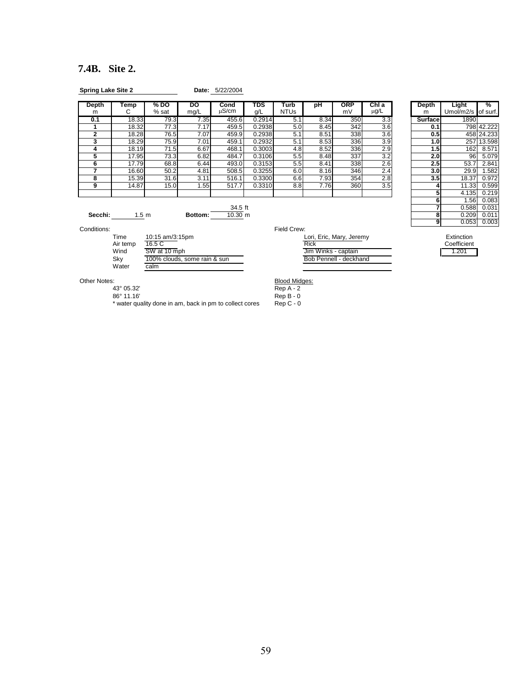### **7.4B. Site 2.**

| <b>Spring Lake Site 2</b> |       |                 | Date: 5/22/2004 |               |            |                     |      |                  |               |  |            |                    |                           |
|---------------------------|-------|-----------------|-----------------|---------------|------------|---------------------|------|------------------|---------------|--|------------|--------------------|---------------------------|
| Depth<br>m                | Temp  | % DO<br>$%$ sat | DO<br>mg/L      | Cond<br>นS/cm | TDS<br>g/L | Turb<br><b>NTUs</b> | рH   | <b>ORP</b><br>mV | ChI a<br>μg/L |  | Depth<br>m | Light<br>Umol/m2/s | $\frac{1}{2}$<br>of surf. |
| 0.1                       | 18.33 | 79.3            | 7.35            | 455.6         | 0.2914     | 5.1                 | 8.34 | 350              | 3.3           |  | Surfacel   | 1890               |                           |
|                           | 18.32 | 77.3            | 7.17            | 459.5         | 0.2938     | 5.0                 | 8.45 | 342              | 3.6           |  | 0.1        |                    | 798 42.222                |
|                           | 18.28 | 76.5            | 7.07            | 459.9         | 0.2938     | 5.1                 | 8.51 | 338              | 3.6           |  | 0.51       |                    | 458 24.233                |
|                           | 18.29 | 75.9            | 7.01            | 459.1         | 0.2932     | 5.1                 | 8.53 | 336              | 3.9           |  | 1.01       | 257                | 13.598                    |
|                           | 18.19 | 71.5            | 6.67            | 468.1         | 0.3003     | 4.8                 | 8.52 | 336              | 2.9           |  | 1.51       | 162                | 8.571                     |
|                           | 17.95 | 73.3            | 6.82            | 484.7         | 0.3106     | 5.5                 | 8.48 | 337              | 3.2           |  | 2.01       | 96I                | 5.079                     |
| 6                         | 17.79 | 68.8            | 6.44            | 493.0         | 0.3153     | 5.5                 | 8.41 | 338              | 2.6           |  | 2.5        | 53.7               | 2.841                     |
|                           | 16.60 | 50.2            | 4.81            | 508.5         | 0.3255     | 6.0                 | 8.16 | 346              | 2.4           |  | 3.0        | 29.9               | .582                      |
| 8                         | 15.39 | 31.6            | 3.11            | 516.1         | 0.3300     | 6.6                 | 7.93 | 354              | 2.8           |  | 3.5        | 18.37              | 0.972                     |
| 9                         | 14.87 | 15.0            | 1.55            | 517.7         | 0.3310     | 8.8                 | 7.76 | 360              | 3.5           |  |            | 11.33              | 0.599                     |
|                           |       |                 |                 |               |            |                     |      |                  |               |  |            | 4.135              | 0.219                     |

| Jeptn<br>m     | ı emp<br>С       | % DO<br>% sat | טט<br>mg/L | cona<br>uS/cm | ט ו<br>g/L | i urb<br><b>NTUs</b> | pн   | UKP<br>mV | Cni a<br>$\mu$ g/L | Depth<br>m     | Light<br>Umol/m2/s of surf. | %               |
|----------------|------------------|---------------|------------|---------------|------------|----------------------|------|-----------|--------------------|----------------|-----------------------------|-----------------|
|                |                  |               |            |               |            |                      |      |           |                    |                |                             |                 |
| 0.1            | 18.33            | 79.3          | 7.35       | 455.6         | 0.2914     | 5.1                  | 8.34 | 350       | 3.3                | <b>Surface</b> | 1890                        |                 |
|                | 18.32            | 77.3          | 7.17       | 459.5         | 0.2938     | 5.0                  | 8.45 | 342       | 3.6                | 0.1            |                             | 798 42.222      |
| $\overline{2}$ | 18.28            | 76.5          | 7.07       | 459.9         | 0.2938     | 5.1                  | 8.51 | 338       | 3.6                | 0.5            |                             | 458 24.233      |
| 3              | 18.29            | 75.9          | 7.01       | 459.1         | 0.2932     | 5.1                  | 8.53 | 336       | 3.9                | 1.0            |                             | 257 13.598      |
|                | 18.19            | 71.5          | 6.67       | 468.1         | 0.3003     | 4.8                  | 8.52 | 336       | 2.9                | 1.5            | 162I                        | 8.571           |
| 5              | 17.95            | 73.3          | 6.82       | 484.7         | 0.3106     | 5.5                  | 8.48 | 337       | 3.2                | 2.0            | 96                          | 5.079           |
|                | 17.79            | 68.8          | 6.44       | 493.0         | 0.3153     | 5.5                  | 8.41 | 338       | 2.6                | 2.5            | 53.7                        | 2.841           |
|                | 16.60            | 50.2          | 4.81       | 508.5         | 0.3255     | 6.0                  | 8.16 | 346       | 2.4                | 3.0            | 29.9                        | 1.582           |
| 8              | 15.39            | 31.6          | 3.11       | 516.1         | 0.3300     | 6.6                  | 7.93 | 354       | 2.8                | 3.5            | 18.37                       | 0.972           |
| 9              | 14.87            | 15.0          | 1.55       | 517.7         | 0.3310     | 8.8                  | 7.76 | 360       | 3.5                |                | 11.33                       | 0.599           |
|                |                  |               |            |               |            |                      |      |           |                    |                | 4.135                       | 0.219           |
|                |                  |               |            |               |            |                      |      |           |                    |                | 1.56                        | 0.083           |
|                |                  |               |            | 34.5 ft       |            |                      |      |           |                    |                | 0.588                       | 0.031           |
| Secchi:        | 1.5 <sub>m</sub> |               | Bottom:    | 10.30 m       |            |                      |      |           |                    | 8              | 0.209                       | 0.011           |
|                |                  |               |            |               |            |                      |      |           |                    |                |                             | $0.053$ $0.003$ |

Conditions: Field Crew:

| Time     | 10:15 am/3:15pm              |
|----------|------------------------------|
| Air temp | 16.5C                        |
| Wind     | SW at 10 mph                 |
| Sky      | 100% clouds, some rain & sun |
| Water    | calm                         |
|          |                              |

| Time<br>Air temp | 10:15 am/3:15pm<br>16.5 C    | Lori, Eric, Mary, Jeremy<br>Rick | Extinction<br>Coefficient |
|------------------|------------------------------|----------------------------------|---------------------------|
| Wind             | SW at 10 mph                 | Jim Winks - captain              | .201                      |
| Skv<br>.         | 100% clouds, some rain & sun | Bob Pennell - deckhand           |                           |

43° 05.32' Rep A - 2

86° 11.16' Rep B - 0

Other Notes:<br>
43° 05.32′<br>
86° 11.16′<br>
86° 11.16′<br>
86° 11.16′<br>
86° 11.16′<br>
96° 11.16′<br>
96° 11.16′ \* water quality done in am, back in pm to collect cores Rep C - 0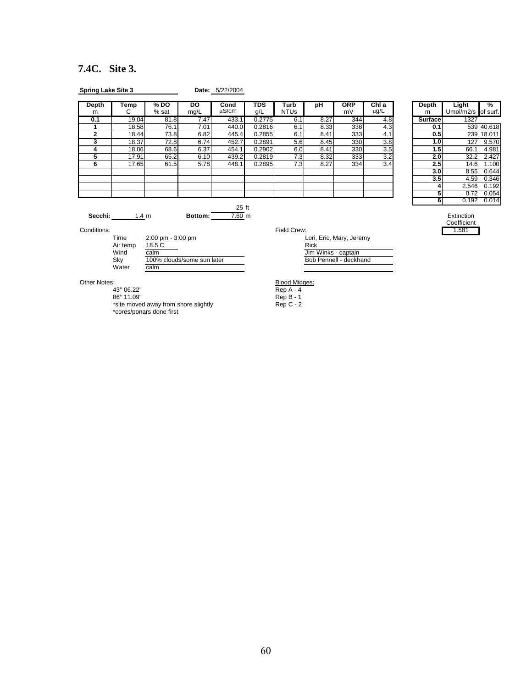### **7.4C. Site 3.**

| <b>Spring Lake Site 3</b> |           |                 |                   | Date: 5/22/2004 |            |                     |      |                  |              |            |                  |                             |                      |
|---------------------------|-----------|-----------------|-------------------|-----------------|------------|---------------------|------|------------------|--------------|------------|------------------|-----------------------------|----------------------|
| Depth<br>m                | Temp<br>G | % DO<br>$%$ sat | <b>DO</b><br>mq/L | Cond<br>นS/cm   | TDS<br>g/L | Turb<br><b>NTUs</b> | рH   | <b>ORP</b><br>mV | ChIa<br>μg/L | Depth<br>m |                  | Light<br>Umol/m2/s of surf. | $\sqrt{\frac{6}{5}}$ |
| 0.1                       | 19.04     | 81.8            | 7.47              | 433.1           | 0.2775     | 6.1                 | 8.27 | 344              | 4.8          | Surface    |                  | 1327                        |                      |
|                           | 18.58     | 76.1            | 7.01              | 440.0           | 0.2816     | 6.1                 | 8.33 | 338              | 4.3          |            | 0.1              |                             | 539 40.618           |
|                           | 18.44     | 73.8            | 6.82              | 445.4           | 0.2855     | 6.1                 | 8.41 | 333              | 4.1          |            | 0.5 <sub>1</sub> |                             | 239 18.011           |
|                           | 18.37     | 72.8            | 6.74              | 452.7           | 0.2891     | 5.6                 | 8.45 | 330              | 3.8          |            | 1.0 <sub>l</sub> | 127                         | 9.570                |
|                           | 18.06     | 68.6            | 6.37              | 454.1           | 0.2902     | 6.0                 | 8.41 | 330              | 3.5          |            | 1.5              | 66.1                        | 4.981                |
| ь                         | 17.91     | 65.2            | 6.10              | 439.2           | 0.2819     | 7.3                 | 8.32 | 333              | 3.2          |            | 2.0 <sub>l</sub> | 32.2                        | 2.427                |
| ь                         | 17.65     | 61.5            | 5.78              | 448.1           | 0.2895     | 7.3                 | 8.27 | 334              | 3.4          |            | 2.5              | 14.6                        | 1.100                |
|                           |           |                 |                   |                 |            |                     |      |                  |              |            | 3.OI             | 8.55                        | 0.644                |
|                           |           |                 |                   |                 |            |                     |      |                  |              |            | 3.5 <sub>1</sub> | 4.59                        | 0.346                |
|                           |           |                 |                   |                 |            |                     |      |                  |              |            |                  | 2.546                       | 0.192                |
|                           |           |                 |                   |                 |            |                     |      |                  |              |            |                  | 0.72                        | 0.054                |

| Depth          | Light              | %      |
|----------------|--------------------|--------|
| m              | Umol/m2/s of surf. |        |
| <b>Surface</b> | 1327               |        |
| 0.1            | 539                | 40.618 |
| 0.5            | 239                | 18.011 |
| 1.0            | 127                | 9.570  |
| 1.5            | 66.1               | 4.981  |
| 2.0            | 32.2               | 2.427  |
| 2.5            | 14.6               | 1.100  |
| 3.0            | 8.55               | 0.644  |
| 3.5            | 4.59               | 0.346  |
| 4              | 2.546              | 0.192  |
| 5              | 0.72               | 0.054  |
| 6              | 0.192              | 0.014  |

Extinction<br>Coefficient<br>1.581

 $\frac{25}{7.60}$  ft **Secchi:** 1.4 m **Bottom:** 7.60 m **Bottom:** 7.60 m **Bottom: Extinction** 

Conditions: Field Crew: 1.581

| Time     | $2:00 \text{ pm} - 3:00 \text{ pm}$ | Lori, Eric, Mary, Jeremy |
|----------|-------------------------------------|--------------------------|
| Air temp | 18.5 C                              | Rick                     |
| Wind     | calm                                | Jim Winks - captain      |
| Skv      | 100% clouds/some sun later          | Bob Pennell - deckhand   |
| Water    | calm                                |                          |
|          |                                     |                          |

86° 11.09′ Rep B - 1

\*site moved away from shore slightly method on Rep C - 2 \*cores/ponars done first

| Lori, Eric, Mary, Jeremy |
|--------------------------|
| Rick                     |
| Jim Winks - captain      |
| Bob Pennell - deckhand   |

Other Notes: **Blood Midges: Blood Midges: Blood Midges:** 

43° 06.22' Rep A - 4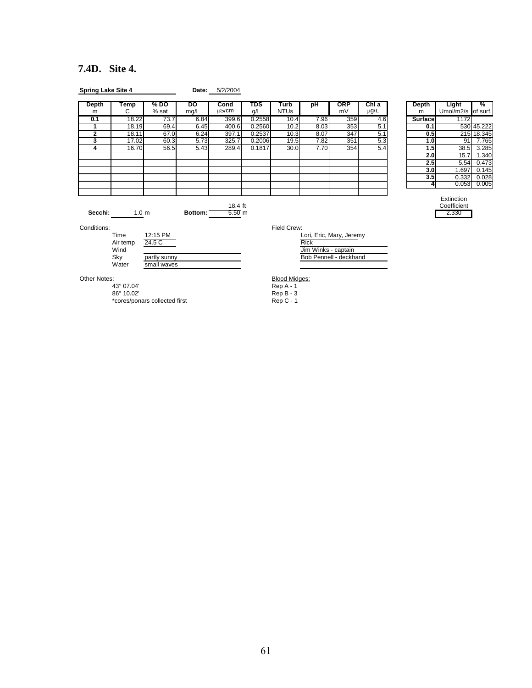### **7.4D. Site 4.**

| Depth<br>m   | Temp<br>C                | $%$ DO<br>$%$ sat           | DO<br>mg/L | Cond<br>µS/cm                | TDS<br>g/L | <b>Turb</b><br><b>NTUs</b> | pH                                 | <b>ORP</b><br>mV         | Chl a<br>$\mu$ g/L | Depth<br>m | Light<br>Umol/m2/s of surf.        | %          |
|--------------|--------------------------|-----------------------------|------------|------------------------------|------------|----------------------------|------------------------------------|--------------------------|--------------------|------------|------------------------------------|------------|
| 0.1          | 18.22                    | 73.7                        | 6.84       | 399.6                        | 0.2558     | 10.4                       | 7.96                               | 359                      | 4.6                | Surface    | 1172                               |            |
| 1            | 18.19                    | 69.4                        | 6.45       | 400.6                        | 0.2560     | 10.2                       | 8.03                               | 353                      | 5.1                | 0.1        |                                    | 530 45.222 |
| $\mathbf{2}$ | 18.11                    | 67.0                        | 6.24       | 397.1                        | 0.2537     | 10.3                       | 8.07                               | 347                      | 5.1                | 0.5        |                                    | 215 18.345 |
| 3            | 17.02                    | 60.3                        | 5.73       | 325.7                        | 0.2006     | 19.5                       | 7.82                               | 351                      | 5.3                | 1.0        | 91                                 | 7.765      |
| 4            | 16.70                    | 56.5                        | 5.43       | 289.4                        | 0.1817     | 30.0                       | 7.70                               | 354                      | 5.4                | 1.5        | 38.5                               | 3.285      |
|              |                          |                             |            |                              |            |                            |                                    |                          |                    | 2.0        | 15.7                               | 1.340      |
|              |                          |                             |            |                              |            |                            |                                    |                          |                    | 2.5        | 5.54                               | 0.473      |
|              |                          |                             |            |                              |            |                            |                                    |                          |                    | 3.0        | 1.697                              | 0.145      |
|              |                          |                             |            |                              |            |                            |                                    |                          |                    | 3.5        | 0.332                              | 0.028      |
|              |                          |                             |            |                              |            |                            |                                    |                          |                    | 4          | 0.053                              | 0.005      |
| Secchi:      | 1.0 <sub>m</sub>         |                             | Bottom:    | 18.4 ft<br>5.50 <sub>m</sub> |            |                            |                                    |                          |                    |            | Extinction<br>Coefficient<br>2.330 |            |
| Conditions:  |                          |                             |            |                              |            | Field Crew:                |                                    |                          |                    |            |                                    |            |
|              | Time<br>Air temp<br>Wind | 12:15 PM<br>24.5 C          |            |                              |            |                            | <b>Rick</b><br>Jim Winks - captain | Lori, Eric, Mary, Jeremy |                    |            |                                    |            |
|              | Sky<br>Water             | partly sunny<br>small waves |            |                              |            |                            |                                    | Bob Pennell - deckhand   |                    |            |                                    |            |
| Other Notes: |                          |                             |            |                              |            | <b>Blood Midges:</b>       |                                    |                          |                    |            |                                    |            |
|              | 43° 07.04'               |                             |            |                              |            | $Rep A - 1$                |                                    |                          |                    |            |                                    |            |
|              | 86° 10.02'               |                             |            |                              |            | $Rep B - 3$                |                                    |                          |                    |            |                                    |            |

\*cores/ponars collected first **Rep C** - 1